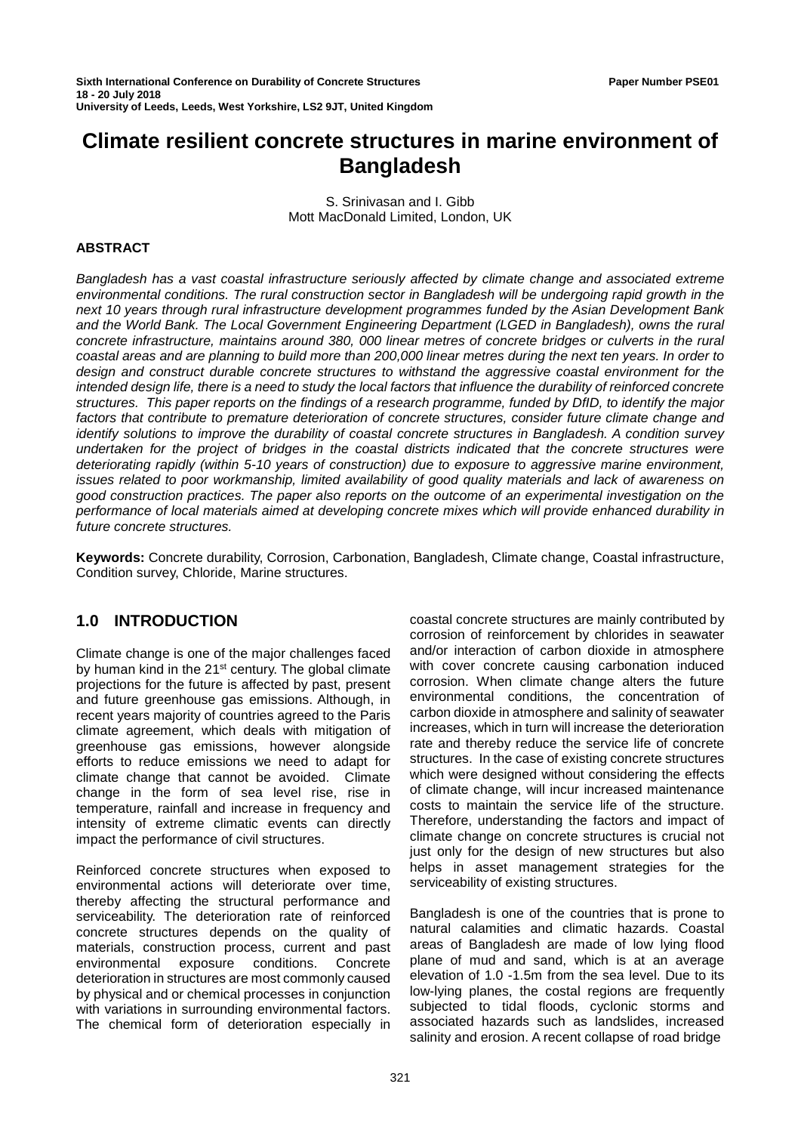# **Climate resilient concrete structures in marine environment of Bangladesh**

S. Srinivasan and I. Gibb Mott MacDonald Limited, London, UK

#### **ABSTRACT**

*Bangladesh has a vast coastal infrastructure seriously affected by climate change and associated extreme environmental conditions. The rural construction sector in Bangladesh will be undergoing rapid growth in the next 10 years through rural infrastructure development programmes funded by the Asian Development Bank and the World Bank. The Local Government Engineering Department (LGED in Bangladesh), owns the rural concrete infrastructure, maintains around 380, 000 linear metres of concrete bridges or culverts in the rural coastal areas and are planning to build more than 200,000 linear metres during the next ten years. In order to design and construct durable concrete structures to withstand the aggressive coastal environment for the intended design life, there is a need to study the local factors that influence the durability of reinforced concrete structures. This paper reports on the findings of a research programme, funded by DfID, to identify the major factors that contribute to premature deterioration of concrete structures, consider future climate change and identify solutions to improve the durability of coastal concrete structures in Bangladesh. A condition survey undertaken for the project of bridges in the coastal districts indicated that the concrete structures were deteriorating rapidly (within 5-10 years of construction) due to exposure to aggressive marine environment, issues related to poor workmanship, limited availability of good quality materials and lack of awareness on good construction practices. The paper also reports on the outcome of an experimental investigation on the performance of local materials aimed at developing concrete mixes which will provide enhanced durability in future concrete structures.*

**Keywords:** Concrete durability, Corrosion, Carbonation, Bangladesh, Climate change, Coastal infrastructure, Condition survey, Chloride, Marine structures.

# **1.0 INTRODUCTION**

Climate change is one of the major challenges faced by human kind in the 21<sup>st</sup> century. The global climate projections for the future is affected by past, present and future greenhouse gas emissions. Although, in recent years majority of countries agreed to the Paris climate agreement, which deals with mitigation of greenhouse gas emissions, however alongside efforts to reduce emissions we need to adapt for climate change that cannot be avoided. Climate change in the form of sea level rise, rise in temperature, rainfall and increase in frequency and intensity of extreme climatic events can directly impact the performance of civil structures.

Reinforced concrete structures when exposed to environmental actions will deteriorate over time, thereby affecting the structural performance and serviceability. The deterioration rate of reinforced concrete structures depends on the quality of materials, construction process, current and past<br>environmental exposure conditions. Concrete exposure conditions. Concrete deterioration in structures are most commonly caused by physical and or chemical processes in conjunction with variations in surrounding environmental factors. The chemical form of deterioration especially in

coastal concrete structures are mainly contributed by corrosion of reinforcement by chlorides in seawater and/or interaction of carbon dioxide in atmosphere with cover concrete causing carbonation induced corrosion. When climate change alters the future environmental conditions, the concentration of carbon dioxide in atmosphere and salinity of seawater increases, which in turn will increase the deterioration rate and thereby reduce the service life of concrete structures. In the case of existing concrete structures which were designed without considering the effects of climate change, will incur increased maintenance costs to maintain the service life of the structure. Therefore, understanding the factors and impact of climate change on concrete structures is crucial not just only for the design of new structures but also helps in asset management strategies for the serviceability of existing structures.

Bangladesh is one of the countries that is prone to natural calamities and climatic hazards. Coastal areas of Bangladesh are made of low lying flood plane of mud and sand, which is at an average elevation of 1.0 -1.5m from the sea level. Due to its low-lying planes, the costal regions are frequently subjected to tidal floods, cyclonic storms and associated hazards such as landslides, increased salinity and erosion. A recent collapse of road bridge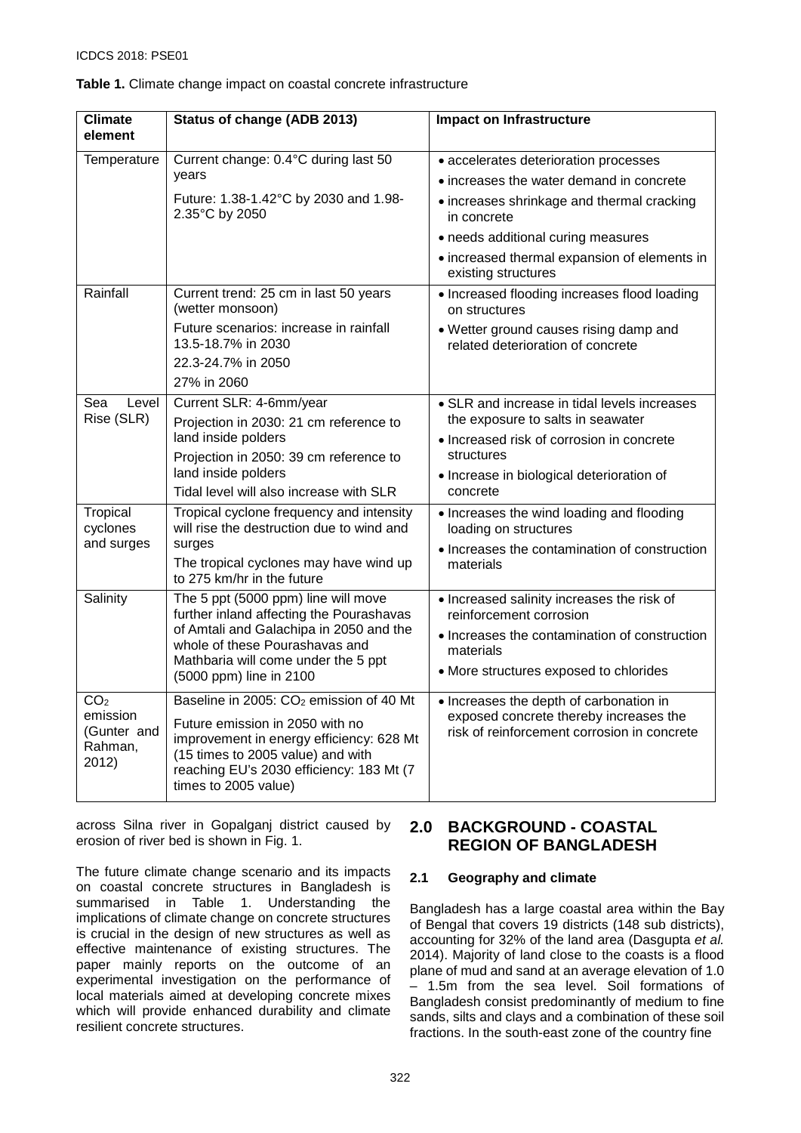| <b>Climate</b><br>element                   | Status of change (ADB 2013)                                                     | <b>Impact on Infrastructure</b>                                                                                                |  |  |  |  |
|---------------------------------------------|---------------------------------------------------------------------------------|--------------------------------------------------------------------------------------------------------------------------------|--|--|--|--|
| Temperature                                 | Current change: 0.4°C during last 50                                            | • accelerates deterioration processes                                                                                          |  |  |  |  |
|                                             | years                                                                           | • increases the water demand in concrete                                                                                       |  |  |  |  |
|                                             | Future: 1.38-1.42°C by 2030 and 1.98-<br>2.35°C by 2050                         | • increases shrinkage and thermal cracking<br>in concrete                                                                      |  |  |  |  |
|                                             |                                                                                 | • needs additional curing measures                                                                                             |  |  |  |  |
|                                             |                                                                                 | • increased thermal expansion of elements in<br>existing structures                                                            |  |  |  |  |
| Rainfall                                    | Current trend: 25 cm in last 50 years<br>(wetter monsoon)                       | • Increased flooding increases flood loading<br>on structures                                                                  |  |  |  |  |
|                                             | Future scenarios: increase in rainfall<br>13.5-18.7% in 2030                    | • Wetter ground causes rising damp and<br>related deterioration of concrete                                                    |  |  |  |  |
|                                             | 22.3-24.7% in 2050                                                              |                                                                                                                                |  |  |  |  |
|                                             | 27% in 2060                                                                     |                                                                                                                                |  |  |  |  |
| Level<br>Sea<br>Rise (SLR)                  | Current SLR: 4-6mm/year<br>Projection in 2030: 21 cm reference to               | • SLR and increase in tidal levels increases<br>the exposure to salts in seawater<br>• Increased risk of corrosion in concrete |  |  |  |  |
|                                             | land inside polders                                                             |                                                                                                                                |  |  |  |  |
|                                             | Projection in 2050: 39 cm reference to                                          | structures                                                                                                                     |  |  |  |  |
|                                             | land inside polders<br>Tidal level will also increase with SLR                  | · Increase in biological deterioration of<br>concrete                                                                          |  |  |  |  |
| Tropical                                    | Tropical cyclone frequency and intensity                                        |                                                                                                                                |  |  |  |  |
| cyclones                                    | will rise the destruction due to wind and                                       | • Increases the wind loading and flooding<br>loading on structures                                                             |  |  |  |  |
| and surges                                  | surges<br>The tropical cyclones may have wind up                                | • Increases the contamination of construction<br>materials                                                                     |  |  |  |  |
|                                             | to 275 km/hr in the future                                                      |                                                                                                                                |  |  |  |  |
| Salinity                                    | The 5 ppt (5000 ppm) line will move<br>further inland affecting the Pourashavas | • Increased salinity increases the risk of<br>reinforcement corrosion                                                          |  |  |  |  |
|                                             | of Amtali and Galachipa in 2050 and the<br>whole of these Pourashavas and       | • Increases the contamination of construction                                                                                  |  |  |  |  |
|                                             | Mathbaria will come under the 5 ppt                                             | materials                                                                                                                      |  |  |  |  |
|                                             | (5000 ppm) line in 2100                                                         | • More structures exposed to chlorides                                                                                         |  |  |  |  |
| CO <sub>2</sub>                             | Baseline in 2005: CO <sub>2</sub> emission of 40 Mt                             | • Increases the depth of carbonation in                                                                                        |  |  |  |  |
| emission                                    | Future emission in 2050 with no                                                 | exposed concrete thereby increases the                                                                                         |  |  |  |  |
| (Gunter and<br>Rahman,<br>$\sim$ 1 $\sim$ 1 | improvement in energy efficiency: 628 Mt<br>(15 times to 2005 value) and with   | risk of reinforcement corrosion in concrete                                                                                    |  |  |  |  |

#### <span id="page-1-0"></span>**Table 1.** Climate change impact on coastal concrete infrastructure

across Silna river in Gopalganj district caused by erosion of river bed is shown in [Fig.](#page-2-0) 1.

times to 2005 value)

reaching EU's 2030 efficiency: 183 Mt (7

2012)

The future climate change scenario and its impacts on coastal concrete structures in Bangladesh is summarised in [Table 1.](#page-1-0) Understanding the implications of climate change on concrete structures is crucial in the design of new structures as well as effective maintenance of existing structures. The paper mainly reports on the outcome of an experimental investigation on the performance of local materials aimed at developing concrete mixes which will provide enhanced durability and climate resilient concrete structures.

# **2.0 BACKGROUND - COASTAL REGION OF BANGLADESH**

#### **2.1 Geography and climate**

Bangladesh has a large coastal area within the Bay of Bengal that covers 19 districts (148 sub districts), accounting for 32% of the land area (Dasgupta *et al.* 2014). Majority of land close to the coasts is a flood plane of mud and sand at an average elevation of 1.0 – 1.5m from the sea level. Soil formations of Bangladesh consist predominantly of medium to fine sands, silts and clays and a combination of these soil fractions. In the south-east zone of the country fine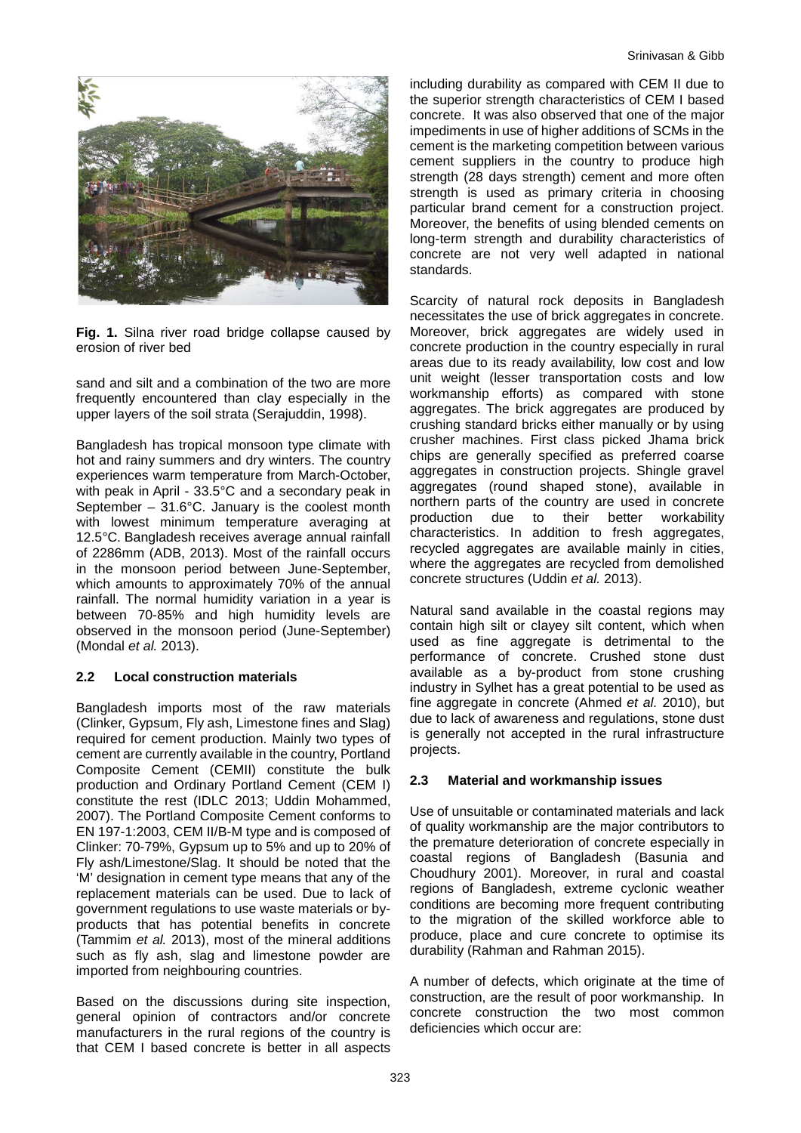

<span id="page-2-0"></span>**Fig. 1.** Silna river road bridge collapse caused by erosion of river bed

sand and silt and a combination of the two are more frequently encountered than clay especially in the upper layers of the soil strata (Serajuddin, 1998).

Bangladesh has tropical monsoon type climate with hot and rainy summers and dry winters. The country experiences warm temperature from March-October, with peak in April - 33.5°C and a secondary peak in September  $-31.6^{\circ}$ C. January is the coolest month with lowest minimum temperature averaging at 12.5°C. Bangladesh receives average annual rainfall of 2286mm (ADB, 2013). Most of the rainfall occurs in the monsoon period between June-September, which amounts to approximately 70% of the annual rainfall. The normal humidity variation in a year is between 70-85% and high humidity levels are observed in the monsoon period (June-September) (Mondal *et al.* 2013).

#### **2.2 Local construction materials**

Bangladesh imports most of the raw materials (Clinker, Gypsum, Fly ash, Limestone fines and Slag) required for cement production. Mainly two types of cement are currently available in the country, Portland Composite Cement (CEMII) constitute the bulk production and Ordinary Portland Cement (CEM I) constitute the rest (IDLC 2013; Uddin Mohammed, 2007). The Portland Composite Cement conforms to EN 197-1:2003, CEM II/B-M type and is composed of Clinker: 70-79%, Gypsum up to 5% and up to 20% of Fly ash/Limestone/Slag. It should be noted that the 'M' designation in cement type means that any of the replacement materials can be used. Due to lack of government regulations to use waste materials or byproducts that has potential benefits in concrete (Tammim *et al.* 2013), most of the mineral additions such as fly ash, slag and limestone powder are imported from neighbouring countries.

Based on the discussions during site inspection, general opinion of contractors and/or concrete manufacturers in the rural regions of the country is that CEM I based concrete is better in all aspects

including durability as compared with CEM II due to the superior strength characteristics of CEM I based concrete. It was also observed that one of the major impediments in use of higher additions of SCMs in the cement is the marketing competition between various cement suppliers in the country to produce high strength (28 days strength) cement and more often strength is used as primary criteria in choosing particular brand cement for a construction project. Moreover, the benefits of using blended cements on long-term strength and durability characteristics of concrete are not very well adapted in national standards.

Scarcity of natural rock deposits in Bangladesh necessitates the use of brick aggregates in concrete. Moreover, brick aggregates are widely used in concrete production in the country especially in rural areas due to its ready availability, low cost and low unit weight (lesser transportation costs and low workmanship efforts) as compared with stone aggregates. The brick aggregates are produced by crushing standard bricks either manually or by using crusher machines. First class picked Jhama brick chips are generally specified as preferred coarse aggregates in construction projects. Shingle gravel aggregates (round shaped stone), available in northern parts of the country are used in concrete<br>production due to their better workability workability characteristics. In addition to fresh aggregates, recycled aggregates are available mainly in cities, where the aggregates are recycled from demolished concrete structures (Uddin *et al.* 2013).

Natural sand available in the coastal regions may contain high silt or clayey silt content, which when used as fine aggregate is detrimental to the performance of concrete. Crushed stone dust available as a by-product from stone crushing industry in Sylhet has a great potential to be used as fine aggregate in concrete (Ahmed *et al.* 2010), but due to lack of awareness and regulations, stone dust is generally not accepted in the rural infrastructure projects.

#### **2.3 Material and workmanship issues**

Use of unsuitable or contaminated materials and lack of quality workmanship are the major contributors to the premature deterioration of concrete especially in coastal regions of Bangladesh (Basunia and Choudhury 2001). Moreover, in rural and coastal regions of Bangladesh, extreme cyclonic weather conditions are becoming more frequent contributing to the migration of the skilled workforce able to produce, place and cure concrete to optimise its durability (Rahman and Rahman 2015).

A number of defects, which originate at the time of construction, are the result of poor workmanship. In concrete construction the two most common deficiencies which occur are: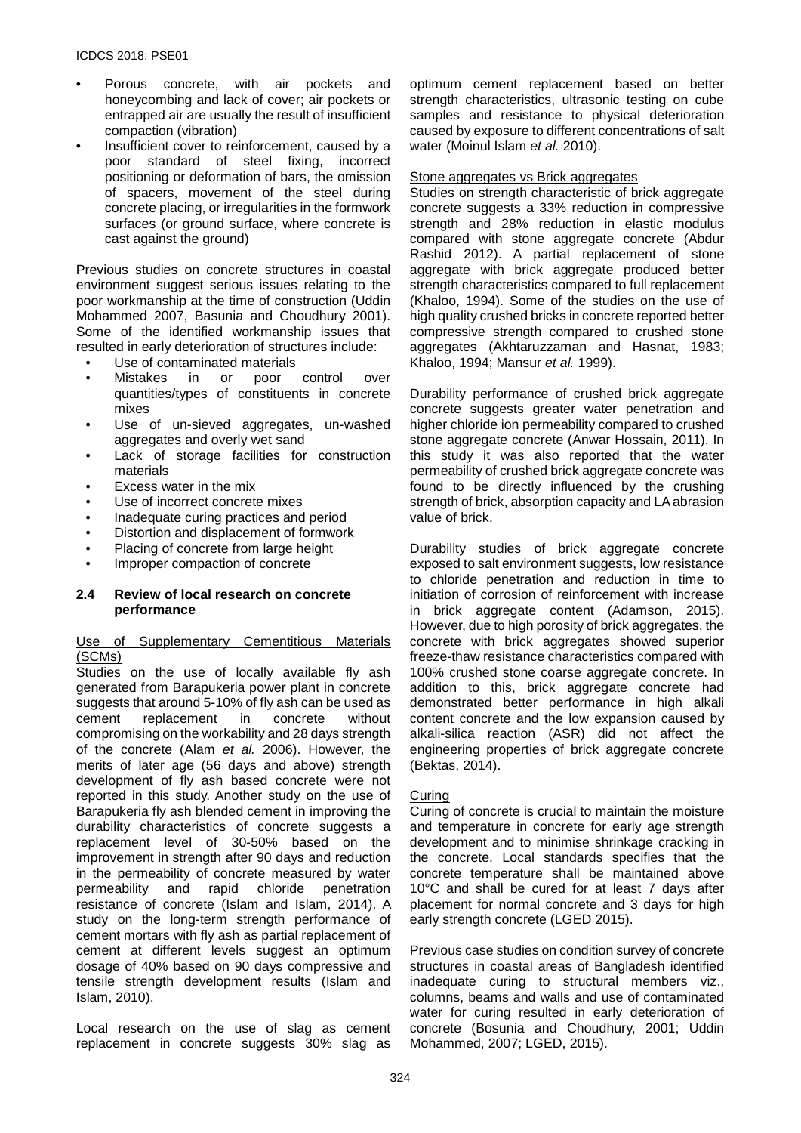- Porous concrete, with air pockets and honeycombing and lack of cover; air pockets or entrapped air are usually the result of insufficient compaction (vibration)
- Insufficient cover to reinforcement, caused by a poor standard of steel fixing, incorrect positioning or deformation of bars, the omission of spacers, movement of the steel during concrete placing, or irregularities in the formwork surfaces (or ground surface, where concrete is cast against the ground)

Previous studies on concrete structures in coastal environment suggest serious issues relating to the poor workmanship at the time of construction (Uddin Mohammed 2007, Basunia and Choudhury 2001). Some of the identified workmanship issues that resulted in early deterioration of structures include:

- Use of contaminated materials<br>Mistakes in or poor
- poor control over quantities/types of constituents in concrete mixes
- Use of un-sieved aggregates, un-washed aggregates and overly wet sand
- Lack of storage facilities for construction materials
- Excess water in the mix
- Use of incorrect concrete mixes
- Inadequate curing practices and period
- Distortion and displacement of formwork
- Placing of concrete from large height
- Improper compaction of concrete

#### **2.4 Review of local research on concrete performance**

#### Use of Supplementary Cementitious Materials (SCMs)

Studies on the use of locally available fly ash generated from Barapukeria power plant in concrete suggests that around 5-10% of fly ash can be used as<br>cement replacement in concrete without replacement in concrete without compromising on the workability and 28 days strength of the concrete (Alam *et al.* 2006). However, the merits of later age (56 days and above) strength development of fly ash based concrete were not reported in this study. Another study on the use of Barapukeria fly ash blended cement in improving the durability characteristics of concrete suggests a replacement level of 30-50% based on the improvement in strength after 90 days and reduction in the permeability of concrete measured by water permeability and rapid chloride penetration resistance of concrete (Islam and Islam, 2014). A study on the long-term strength performance of cement mortars with fly ash as partial replacement of cement at different levels suggest an optimum dosage of 40% based on 90 days compressive and tensile strength development results (Islam and Islam, 2010).

Local research on the use of slag as cement replacement in concrete suggests 30% slag as

optimum cement replacement based on better strength characteristics, ultrasonic testing on cube samples and resistance to physical deterioration caused by exposure to different concentrations of salt water (Moinul Islam *et al.* 2010).

#### Stone aggregates vs Brick aggregates

Studies on strength characteristic of brick aggregate concrete suggests a 33% reduction in compressive strength and 28% reduction in elastic modulus compared with stone aggregate concrete (Abdur Rashid 2012). A partial replacement of stone aggregate with brick aggregate produced better strength characteristics compared to full replacement (Khaloo, 1994). Some of the studies on the use of high quality crushed bricks in concrete reported better compressive strength compared to crushed stone aggregates (Akhtaruzzaman and Hasnat, 1983; Khaloo, 1994; Mansur *et al.* 1999).

Durability performance of crushed brick aggregate concrete suggests greater water penetration and higher chloride ion permeability compared to crushed stone aggregate concrete (Anwar Hossain, 2011). In this study it was also reported that the water permeability of crushed brick aggregate concrete was found to be directly influenced by the crushing strength of brick, absorption capacity and LA abrasion value of brick.

Durability studies of brick aggregate concrete exposed to salt environment suggests, low resistance to chloride penetration and reduction in time to initiation of corrosion of reinforcement with increase in brick aggregate content (Adamson, 2015). However, due to high porosity of brick aggregates, the concrete with brick aggregates showed superior freeze-thaw resistance characteristics compared with 100% crushed stone coarse aggregate concrete. In addition to this, brick aggregate concrete had demonstrated better performance in high alkali content concrete and the low expansion caused by alkali-silica reaction (ASR) did not affect the engineering properties of brick aggregate concrete (Bektas, 2014).

#### Curing

Curing of concrete is crucial to maintain the moisture and temperature in concrete for early age strength development and to minimise shrinkage cracking in the concrete. Local standards specifies that the concrete temperature shall be maintained above 10°C and shall be cured for at least 7 days after placement for normal concrete and 3 days for high early strength concrete (LGED 2015).

Previous case studies on condition survey of concrete structures in coastal areas of Bangladesh identified inadequate curing to structural members viz., columns, beams and walls and use of contaminated water for curing resulted in early deterioration of concrete (Bosunia and Choudhury, 2001; Uddin Mohammed, 2007; LGED, 2015).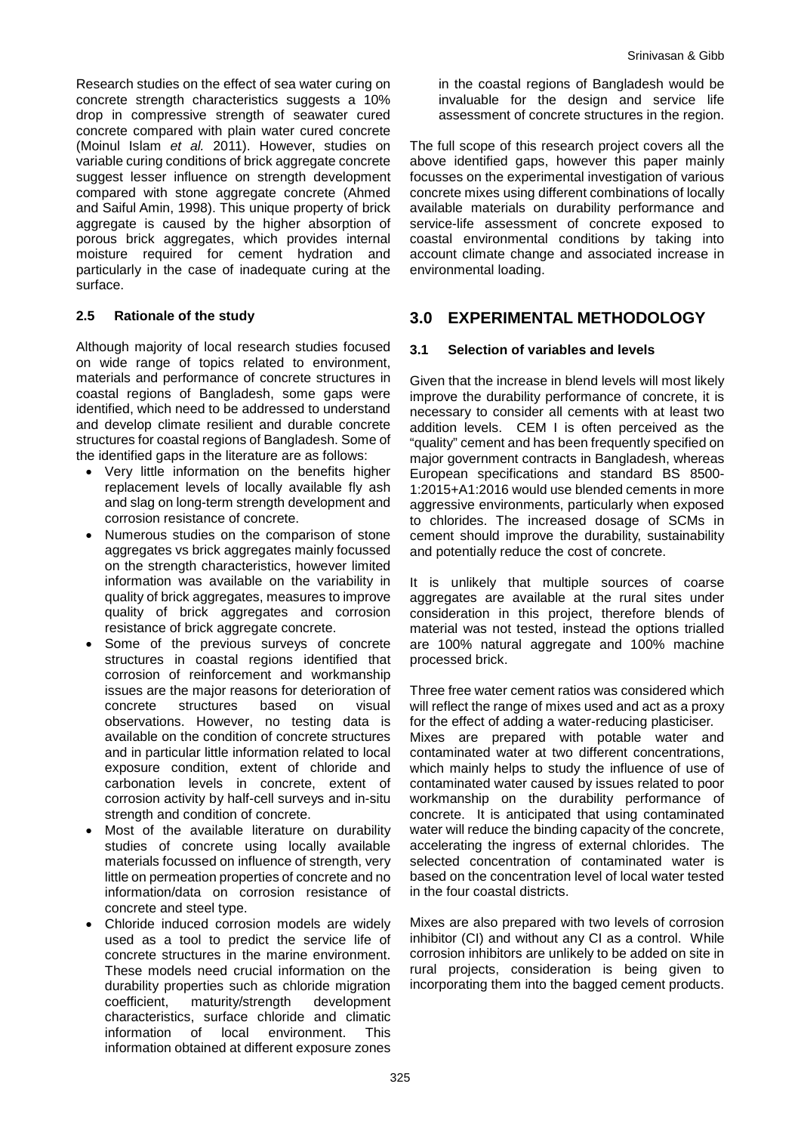Research studies on the effect of sea water curing on concrete strength characteristics suggests a 10% drop in compressive strength of seawater cured concrete compared with plain water cured concrete (Moinul Islam *et al.* 2011). However, studies on variable curing conditions of brick aggregate concrete suggest lesser influence on strength development compared with stone aggregate concrete (Ahmed and Saiful Amin, 1998). This unique property of brick aggregate is caused by the higher absorption of porous brick aggregates, which provides internal moisture required for cement hydration and particularly in the case of inadequate curing at the surface.

#### **2.5 Rationale of the study**

Although majority of local research studies focused on wide range of topics related to environment, materials and performance of concrete structures in coastal regions of Bangladesh, some gaps were identified, which need to be addressed to understand and develop climate resilient and durable concrete structures for coastal regions of Bangladesh. Some of the identified gaps in the literature are as follows:

- Very little information on the benefits higher replacement levels of locally available fly ash and slag on long-term strength development and corrosion resistance of concrete.
- Numerous studies on the comparison of stone aggregates vs brick aggregates mainly focussed on the strength characteristics, however limited information was available on the variability in quality of brick aggregates, measures to improve quality of brick aggregates and corrosion resistance of brick aggregate concrete.
- Some of the previous surveys of concrete structures in coastal regions identified that corrosion of reinforcement and workmanship issues are the major reasons for deterioration of concrete structures based on visual observations. However, no testing data is available on the condition of concrete structures and in particular little information related to local exposure condition, extent of chloride and carbonation levels in concrete, extent of corrosion activity by half-cell surveys and in-situ strength and condition of concrete.
- Most of the available literature on durability studies of concrete using locally available materials focussed on influence of strength, very little on permeation properties of concrete and no information/data on corrosion resistance of concrete and steel type.
- Chloride induced corrosion models are widely used as a tool to predict the service life of concrete structures in the marine environment. These models need crucial information on the durability properties such as chloride migration coefficient, maturity/strength development characteristics, surface chloride and climatic information of local environment. This information obtained at different exposure zones

in the coastal regions of Bangladesh would be invaluable for the design and service life assessment of concrete structures in the region.

The full scope of this research project covers all the above identified gaps, however this paper mainly focusses on the experimental investigation of various concrete mixes using different combinations of locally available materials on durability performance and service-life assessment of concrete exposed to coastal environmental conditions by taking into account climate change and associated increase in environmental loading.

### **3.0 EXPERIMENTAL METHODOLOGY**

#### **3.1 Selection of variables and levels**

Given that the increase in blend levels will most likely improve the durability performance of concrete, it is necessary to consider all cements with at least two addition levels. CEM I is often perceived as the "quality" cement and has been frequently specified on major government contracts in Bangladesh, whereas European specifications and standard BS 8500- 1:2015+A1:2016 would use blended cements in more aggressive environments, particularly when exposed to chlorides. The increased dosage of SCMs in cement should improve the durability, sustainability and potentially reduce the cost of concrete.

It is unlikely that multiple sources of coarse aggregates are available at the rural sites under consideration in this project, therefore blends of material was not tested, instead the options trialled are 100% natural aggregate and 100% machine processed brick.

Three free water cement ratios was considered which will reflect the range of mixes used and act as a proxy for the effect of adding a water-reducing plasticiser. Mixes are prepared with potable water and contaminated water at two different concentrations, which mainly helps to study the influence of use of contaminated water caused by issues related to poor workmanship on the durability performance of concrete. It is anticipated that using contaminated water will reduce the binding capacity of the concrete, accelerating the ingress of external chlorides. The selected concentration of contaminated water is based on the concentration level of local water tested in the four coastal districts.

Mixes are also prepared with two levels of corrosion inhibitor (CI) and without any CI as a control. While corrosion inhibitors are unlikely to be added on site in rural projects, consideration is being given to incorporating them into the bagged cement products.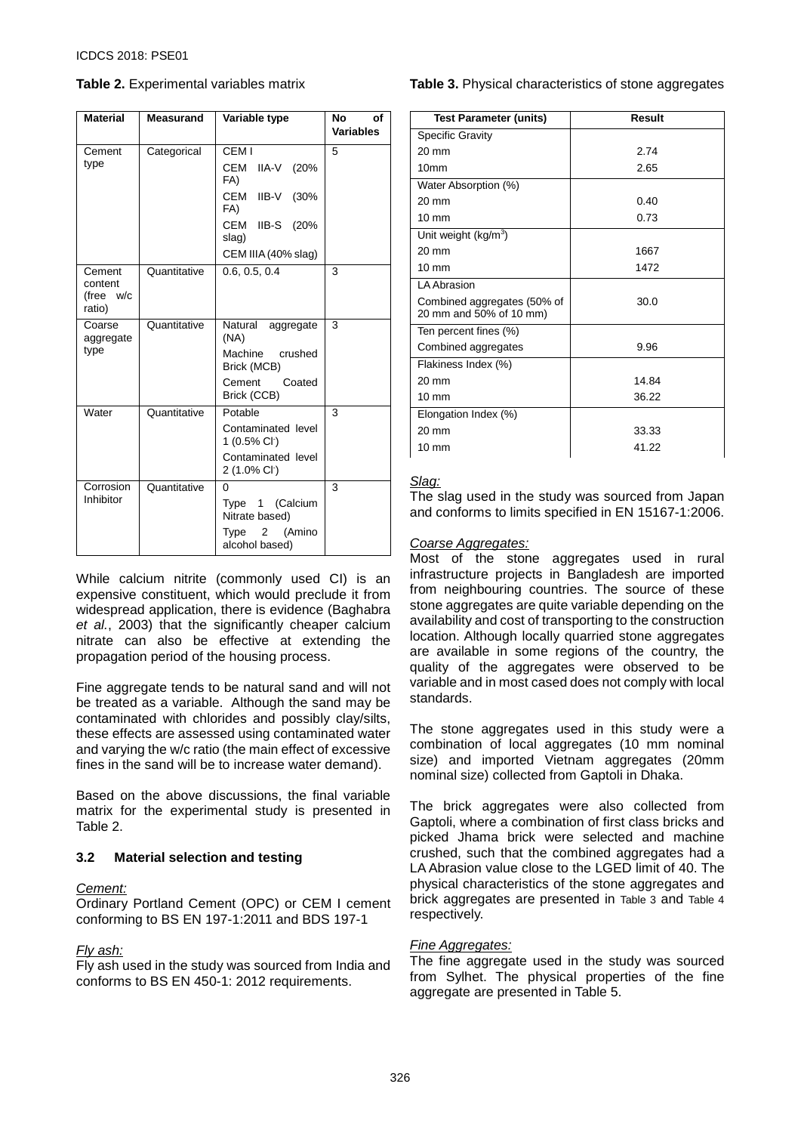<span id="page-5-0"></span>**Table 2.** Experimental variables matrix

| <b>Material</b>                          | <b>Measurand</b> | Variable type                                   | No<br>Οf<br><b>Variables</b> |
|------------------------------------------|------------------|-------------------------------------------------|------------------------------|
| Cement                                   | Categorical      | CEM I                                           | 5                            |
| type                                     |                  | CEM IIA-V<br>(20%<br>FA)                        |                              |
|                                          |                  | CEM IIB-V (30%<br>FA)                           |                              |
|                                          |                  | CEM IIB-S (20%<br>slag)                         |                              |
|                                          |                  | CEM IIIA (40% slag)                             |                              |
| Cement<br>content<br>(free w/c<br>ratio) | Quantitative     | 0.6, 0.5, 0.4                                   | 3                            |
| Coarse<br>aggregate                      | Quantitative     | Natural<br>aggregate<br>(NA)                    | 3                            |
| type                                     |                  | Machine crushed<br>Brick (MCB)                  |                              |
|                                          |                  | Cement<br>Coated<br>Brick (CCB)                 |                              |
| Water                                    | Quantitative     | Potable                                         | 3                            |
|                                          |                  | Contaminated level<br>1 (0.5% Cl <sup>-</sup> ) |                              |
|                                          |                  | Contaminated level<br>2 (1.0% Cl <sup>-</sup> ) |                              |
| Corrosion                                | Quantitative     | 0                                               | $\overline{3}$               |
| Inhibitor                                |                  | (Calcium<br>Type 1<br>Nitrate based)            |                              |
|                                          |                  | (Amino<br>Type<br>2<br>alcohol based)           |                              |

While calcium nitrite (commonly used CI) is an expensive constituent, which would preclude it from widespread application, there is evidence (Baghabra *et al.*, 2003) that the significantly cheaper calcium nitrate can also be effective at extending the propagation period of the housing process.

Fine aggregate tends to be natural sand and will not be treated as a variable. Although the sand may be contaminated with chlorides and possibly clay/silts, these effects are assessed using contaminated water and varying the w/c ratio (the main effect of excessive fines in the sand will be to increase water demand).

Based on the above discussions, the final variable matrix for the experimental study is presented in [Table 2.](#page-5-0)

#### **3.2 Material selection and testing**

#### *Cement:*

Ordinary Portland Cement (OPC) or CEM I cement conforming to BS EN 197-1:2011 and BDS 197-1

#### *Fly ash:*

Fly ash used in the study was sourced from India and conforms to BS EN 450-1: 2012 requirements.

#### <span id="page-5-1"></span>**Table 3.** Physical characteristics of stone aggregates

| <b>Test Parameter (units)</b>                          | Result |
|--------------------------------------------------------|--------|
| <b>Specific Gravity</b>                                |        |
| $20 \text{ mm}$                                        | 2.74   |
| 10 <sub>mm</sub>                                       | 2.65   |
| Water Absorption (%)                                   |        |
| $20 \text{ mm}$                                        | 0.40   |
| $10 \text{ mm}$                                        | 0.73   |
| Unit weight (kg/m <sup>3</sup> )                       |        |
| $20 \text{ mm}$                                        | 1667   |
| $10 \text{ mm}$                                        | 1472   |
| LA Abrasion                                            |        |
| Combined aggregates (50% of<br>20 mm and 50% of 10 mm) | 30.0   |
| Ten percent fines (%)                                  |        |
| Combined aggregates                                    | 9.96   |
| Flakiness Index (%)                                    |        |
| $20 \text{ mm}$                                        | 14.84  |
| $10 \text{ mm}$                                        | 36.22  |
| Elongation Index (%)                                   |        |
| $20 \text{ mm}$                                        | 33.33  |
| $10 \text{ mm}$                                        | 41.22  |

#### *Slag:*

The slag used in the study was sourced from Japan and conforms to limits specified in EN 15167-1:2006.

#### *Coarse Aggregates:*

Most of the stone aggregates used in rural infrastructure projects in Bangladesh are imported from neighbouring countries. The source of these stone aggregates are quite variable depending on the availability and cost of transporting to the construction location. Although locally quarried stone aggregates are available in some regions of the country, the quality of the aggregates were observed to be variable and in most cased does not comply with local standards.

The stone aggregates used in this study were a combination of local aggregates (10 mm nominal size) and imported Vietnam aggregates (20mm nominal size) collected from Gaptoli in Dhaka.

The brick aggregates were also collected from Gaptoli, where a combination of first class bricks and picked Jhama brick were selected and machine crushed, such that the combined aggregates had a LA Abrasion value close to the LGED limit of 40. The physical characteristics of the stone aggregates and brick aggregates are presented in [Table 3](#page-5-1) and [Table 4](#page-6-0) respectively.

#### *Fine Aggregates:*

The fine aggregate used in the study was sourced from Sylhet. The physical properties of the fine aggregate are presented in [Table 5.](#page-6-1)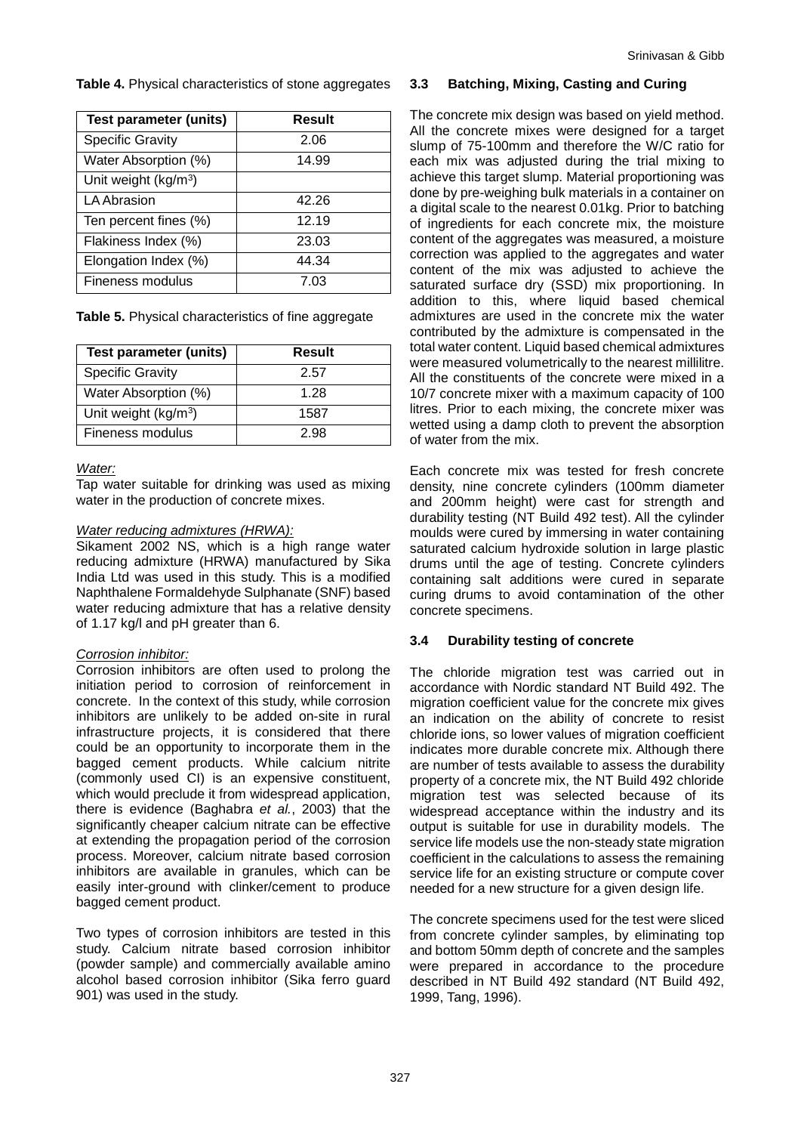<span id="page-6-0"></span>**Table 4.** Physical characteristics of stone aggregates

| <b>Test parameter (units)</b>    | <b>Result</b> |
|----------------------------------|---------------|
| <b>Specific Gravity</b>          | 2.06          |
| Water Absorption (%)             | 14.99         |
| Unit weight (kg/m <sup>3</sup> ) |               |
| <b>LA Abrasion</b>               | 42.26         |
| Ten percent fines (%)            | 12.19         |
| Flakiness Index (%)              | 23.03         |
| Elongation Index (%)             | 44.34         |
| Fineness modulus                 | 7.03          |

<span id="page-6-1"></span>

|  |  | Table 5. Physical characteristics of fine aggregate |
|--|--|-----------------------------------------------------|
|--|--|-----------------------------------------------------|

| <b>Test parameter (units)</b>    | Result |
|----------------------------------|--------|
| <b>Specific Gravity</b>          | 2.57   |
| Water Absorption (%)             | 1.28   |
| Unit weight (kg/m <sup>3</sup> ) | 1587   |
| Fineness modulus                 | 2.98   |

#### *Water:*

Tap water suitable for drinking was used as mixing water in the production of concrete mixes.

#### *Water reducing admixtures (HRWA):*

Sikament 2002 NS, which is a high range water reducing admixture (HRWA) manufactured by Sika India Ltd was used in this study. This is a modified Naphthalene Formaldehyde Sulphanate (SNF) based water reducing admixture that has a relative density of 1.17 kg/l and pH greater than 6.

#### *Corrosion inhibitor:*

Corrosion inhibitors are often used to prolong the initiation period to corrosion of reinforcement in concrete. In the context of this study, while corrosion inhibitors are unlikely to be added on-site in rural infrastructure projects, it is considered that there could be an opportunity to incorporate them in the bagged cement products. While calcium nitrite (commonly used CI) is an expensive constituent, which would preclude it from widespread application, there is evidence (Baghabra *et al.*, 2003) that the significantly cheaper calcium nitrate can be effective at extending the propagation period of the corrosion process. Moreover, calcium nitrate based corrosion inhibitors are available in granules, which can be easily inter-ground with clinker/cement to produce bagged cement product.

Two types of corrosion inhibitors are tested in this study. Calcium nitrate based corrosion inhibitor (powder sample) and commercially available amino alcohol based corrosion inhibitor (Sika ferro guard 901) was used in the study.

#### **3.3 Batching, Mixing, Casting and Curing**

The concrete mix design was based on yield method. All the concrete mixes were designed for a target slump of 75-100mm and therefore the W/C ratio for each mix was adjusted during the trial mixing to achieve this target slump. Material proportioning was done by pre-weighing bulk materials in a container on a digital scale to the nearest 0.01kg. Prior to batching of ingredients for each concrete mix, the moisture content of the aggregates was measured, a moisture correction was applied to the aggregates and water content of the mix was adjusted to achieve the saturated surface dry (SSD) mix proportioning. In addition to this, where liquid based chemical admixtures are used in the concrete mix the water contributed by the admixture is compensated in the total water content. Liquid based chemical admixtures were measured volumetrically to the nearest millilitre. All the constituents of the concrete were mixed in a 10/7 concrete mixer with a maximum capacity of 100 litres. Prior to each mixing, the concrete mixer was wetted using a damp cloth to prevent the absorption of water from the mix.

Each concrete mix was tested for fresh concrete density, nine concrete cylinders (100mm diameter and 200mm height) were cast for strength and durability testing (NT Build 492 test). All the cylinder moulds were cured by immersing in water containing saturated calcium hydroxide solution in large plastic drums until the age of testing. Concrete cylinders containing salt additions were cured in separate curing drums to avoid contamination of the other concrete specimens.

#### **3.4 Durability testing of concrete**

The chloride migration test was carried out in accordance with Nordic standard NT Build 492. The migration coefficient value for the concrete mix gives an indication on the ability of concrete to resist chloride ions, so lower values of migration coefficient indicates more durable concrete mix. Although there are number of tests available to assess the durability property of a concrete mix, the NT Build 492 chloride migration test was selected because of its widespread acceptance within the industry and its output is suitable for use in durability models. The service life models use the non-steady state migration coefficient in the calculations to assess the remaining service life for an existing structure or compute cover needed for a new structure for a given design life.

The concrete specimens used for the test were sliced from concrete cylinder samples, by eliminating top and bottom 50mm depth of concrete and the samples were prepared in accordance to the procedure described in NT Build 492 standard (NT Build 492, 1999, Tang, 1996).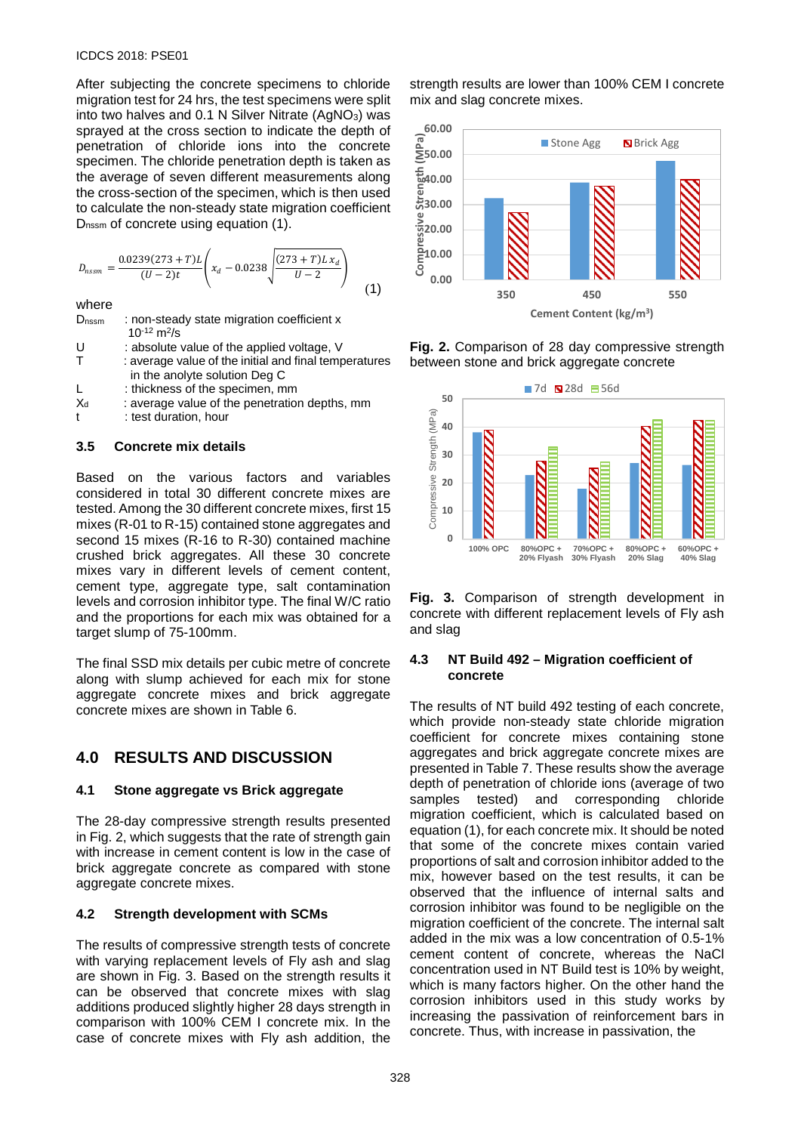#### ICDCS 2018: PSE01

After subjecting the concrete specimens to chloride migration test for 24 hrs, the test specimens were split into two halves and 0.1 N Silver Nitrate (AgNO<sub>3</sub>) was sprayed at the cross section to indicate the depth of penetration of chloride ions into the concrete specimen. The chloride penetration depth is taken as the average of seven different measurements along the cross-section of the specimen, which is then used to calculate the non-steady state migration coefficient D<sub>nssm</sub> of concrete using equation (1).

$$
D_{nssm} = \frac{0.0239(273 + T)L}{(U - 2)t} \left( x_d - 0.0238 \sqrt{\frac{(273 + T)L x_d}{U - 2}} \right)
$$
(1)

#### where

D<sub>nssm</sub> : non-steady state migration coefficient x  $10^{-12}$  m<sup>2</sup>/s

- U : absolute value of the applied voltage, V<br>T : average value of the initial and final temp
- : average value of the initial and final temperatures in the anolyte solution Deg C
- L : thickness of the specimen, mm
- $X<sub>d</sub>$  : average value of the penetration depths, mm
- t : test duration, hour

#### **3.5 Concrete mix details**

Based on the various factors and variables considered in total 30 different concrete mixes are tested. Among the 30 different concrete mixes, first 15 mixes (R-01 to R-15) contained stone aggregates and second 15 mixes (R-16 to R-30) contained machine crushed brick aggregates. All these 30 concrete mixes vary in different levels of cement content, cement type, aggregate type, salt contamination levels and corrosion inhibitor type. The final W/C ratio and the proportions for each mix was obtained for a target slump of 75-100mm.

The final SSD mix details per cubic metre of concrete along with slump achieved for each mix for stone aggregate concrete mixes and brick aggregate concrete mixes are shown in [Table 6.](#page-9-0) 

# **4.0 RESULTS AND DISCUSSION**

#### **4.1 Stone aggregate vs Brick aggregate**

The 28-day compressive strength results presented in [Fig. 2,](#page-7-0) which suggests that the rate of strength gain with increase in cement content is low in the case of brick aggregate concrete as compared with stone aggregate concrete mixes.

#### **4.2 Strength development with SCMs**

The results of compressive strength tests of concrete with varying replacement levels of Fly ash and slag are shown in Fig. 3. Based on the strength results it can be observed that concrete mixes with slag additions produced slightly higher 28 days strength in comparison with 100% CEM I concrete mix. In the case of concrete mixes with Fly ash addition, the

strength results are lower than 100% CEM I concrete mix and slag concrete mixes.



<span id="page-7-0"></span>**Fig. 2.** Comparison of 28 day compressive strength between stone and brick aggregate concrete



**Fig. 3.** Comparison of strength development in concrete with different replacement levels of Fly ash and slag

#### **4.3 NT Build 492 – Migration coefficient of concrete**

The results of NT build 492 testing of each concrete, which provide non-steady state chloride migration coefficient for concrete mixes containing stone aggregates and brick aggregate concrete mixes are presented in Table 7. These results show the average depth of penetration of chloride ions (average of two samples tested) and corresponding chloride migration coefficient, which is calculated based on equation (1), for each concrete mix. It should be noted that some of the concrete mixes contain varied proportions of salt and corrosion inhibitor added to the mix, however based on the test results, it can be observed that the influence of internal salts and corrosion inhibitor was found to be negligible on the migration coefficient of the concrete. The internal salt added in the mix was a low concentration of 0.5-1% cement content of concrete, whereas the NaCl concentration used in NT Build test is 10% by weight, which is many factors higher. On the other hand the corrosion inhibitors used in this study works by increasing the passivation of reinforcement bars in concrete. Thus, with increase in passivation, the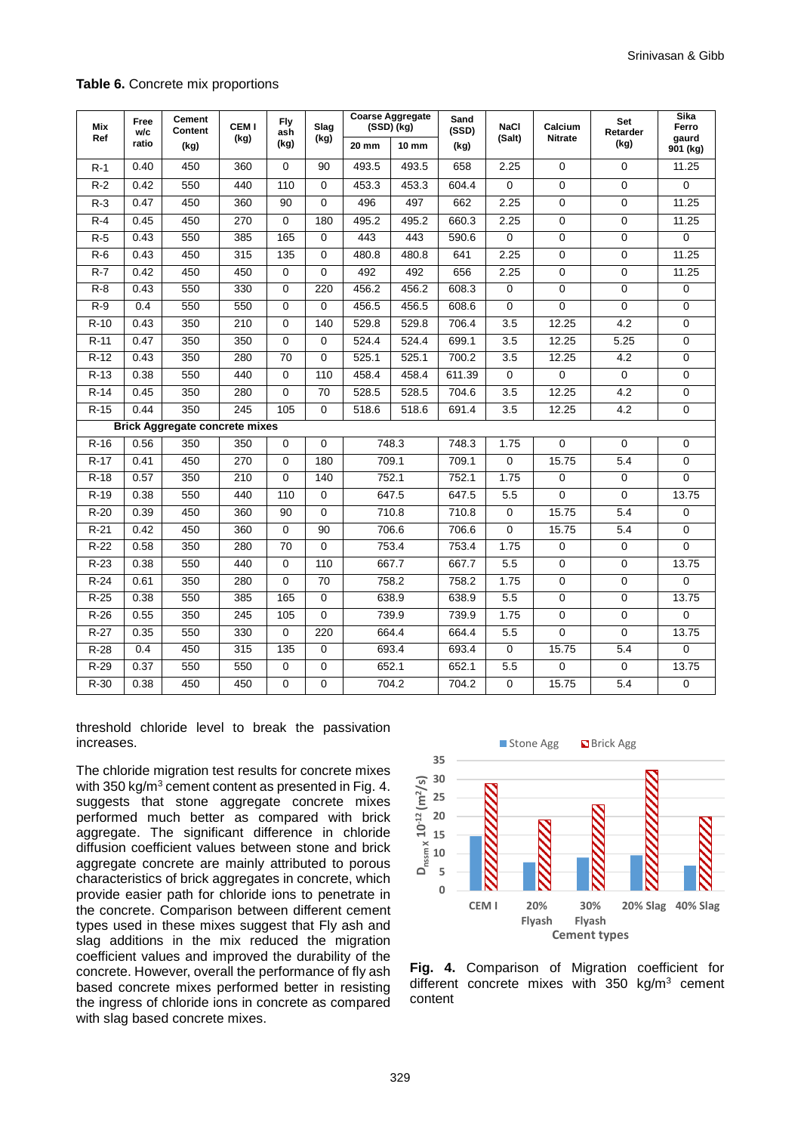#### **Table 6.** Concrete mix proportions

| Mix    | Free<br>w/c | <b>Cement</b><br>Content              | <b>CEMI</b> | <b>Fly</b><br>ash | Slag            |       | <b>Coarse Aggregate</b><br>(SSD) (kg) | Sand<br>(SSD) | <b>NaCl</b>         | Calcium        | Set<br>Retarder | Sika<br>Ferro<br>gaurd |
|--------|-------------|---------------------------------------|-------------|-------------------|-----------------|-------|---------------------------------------|---------------|---------------------|----------------|-----------------|------------------------|
| Ref    | ratio       | (kg)                                  | (kg)        | (kg)              | (kg)            | 20 mm | 10 mm                                 | (kg)          | (Salt)              | <b>Nitrate</b> | (kg)            |                        |
| $R-1$  | 0.40        | 450                                   | 360         | $\mathbf 0$       | 90              | 493.5 | 493.5                                 | 658           | 2.25                | $\Omega$       | $\mathbf 0$     | 11.25                  |
| $R-2$  | 0.42        | 550                                   | 440         | 110               | $\Omega$        | 453.3 | 453.3                                 | 604.4         | $\overline{0}$      | $\overline{0}$ | $\overline{0}$  | $\overline{0}$         |
| $R-3$  | 0.47        | 450                                   | 360         | 90                | 0               | 496   | 497                                   | 662           | 2.25                | $\mathbf 0$    | $\mathbf 0$     | 11.25                  |
| $R-4$  | 0.45        | 450                                   | 270         | $\mathbf 0$       | 180             | 495.2 | 495.2                                 | 660.3         | 2.25                | $\mathbf 0$    | $\mathbf 0$     | 11.25                  |
| $R-5$  | 0.43        | 550                                   | 385         | 165               | $\Omega$        | 443   | 443                                   | 590.6         | $\Omega$            | $\Omega$       | $\mathbf 0$     | $\mathbf 0$            |
| $R-6$  | 0.43        | 450                                   | 315         | 135               | $\Omega$        | 480.8 | 480.8                                 | 641           | 2.25                | $\mathbf 0$    | $\mathbf 0$     | 11.25                  |
| $R-7$  | 0.42        | 450                                   | 450         | 0                 | $\Omega$        | 492   | 492                                   | 656           | 2.25                | $\mathbf 0$    | $\mathbf 0$     | 11.25                  |
| $R-8$  | 0.43        | 550                                   | 330         | 0                 | 220             | 456.2 | 456.2                                 | 608.3         | 0                   | 0              | 0               | 0                      |
| $R-9$  | 0.4         | 550                                   | 550         | $\mathbf 0$       | $\mathbf 0$     | 456.5 | 456.5                                 | 608.6         | $\mathbf 0$         | $\Omega$       | $\mathbf 0$     | $\mathbf 0$            |
| $R-10$ | 0.43        | 350                                   | 210         | $\mathbf 0$       | 140             | 529.8 | 529.8                                 | 706.4         | 3.5                 | 12.25          | 4.2             | $\mathbf 0$            |
| $R-11$ | 0.47        | 350                                   | 350         | 0                 | 0               | 524.4 | 524.4                                 | 699.1         | 3.5                 | 12.25          | 5.25            | $\mathbf 0$            |
| $R-12$ | 0.43        | 350                                   | 280         | 70                | 0               | 525.1 | 525.1                                 | 700.2         | 3.5                 | 12.25          | 4.2             | $\pmb{0}$              |
| $R-13$ | 0.38        | 550                                   | 440         | 0                 | 110             | 458.4 | 458.4                                 | 611.39        | $\mathbf 0$         | $\mathbf 0$    | $\mathbf 0$     | $\mathbf 0$            |
| $R-14$ | 0.45        | 350                                   | 280         | $\mathbf 0$       | 70              | 528.5 | 528.5                                 | 704.6         | 3.5                 | 12.25          | 4.2             | $\pmb{0}$              |
| $R-15$ | 0.44        | 350                                   | 245         | 105               | $\overline{0}$  | 518.6 | 518.6                                 | 691.4         | 3.5                 | 12.25          | 4.2             | $\overline{0}$         |
|        |             | <b>Brick Aggregate concrete mixes</b> |             |                   |                 |       |                                       |               |                     |                |                 |                        |
| $R-16$ | 0.56        | 350                                   | 350         | $\mathbf 0$       | $\mathbf 0$     |       | 748.3                                 | 748.3         | 1.75                | $\mathbf 0$    | $\mathbf 0$     | $\pmb{0}$              |
| $R-17$ | 0.41        | 450                                   | 270         | $\mathbf 0$       | 180             |       | 709.1                                 | 709.1         | $\mathbf 0$         | 15.75          | 5.4             | $\pmb{0}$              |
| $R-18$ | 0.57        | 350                                   | 210         | 0                 | 140             |       | 752.1                                 | 752.1         | 1.75                | 0              | 0               | 0                      |
| $R-19$ | 0.38        | 550                                   | 440         | 110               | $\Omega$        |       | 647.5                                 | 647.5         | 5.5                 | $\Omega$       | $\mathbf 0$     | 13.75                  |
| $R-20$ | 0.39        | 450                                   | 360         | 90                | $\Omega$        |       | 710.8                                 | 710.8         | $\mathbf 0$         | 15.75          | 5.4             | $\mathbf 0$            |
| $R-21$ | 0.42        | 450                                   | 360         | $\mathbf 0$       | 90              |       | 706.6                                 | 706.6         | $\mathbf 0$         | 15.75          | 5.4             | $\mathbf 0$            |
| $R-22$ | 0.58        | 350                                   | 280         | 70                | $\Omega$        |       | 753.4                                 | 753.4         | 1.75                | $\mathbf 0$    | $\mathbf 0$     | $\mathbf 0$            |
| $R-23$ | 0.38        | 550                                   | 440         | 0                 | 110             |       | 667.7                                 | 667.7         | 5.5                 | 0              | $\mathbf 0$     | 13.75                  |
| $R-24$ | 0.61        | 350                                   | 280         | $\mathbf 0$       | $\overline{70}$ |       | 758.2                                 | 758.2         | 1.75                | $\mathbf 0$    | $\overline{0}$  | $\overline{0}$         |
| $R-25$ | 0.38        | 550                                   | 385         | 165               | $\overline{0}$  |       | 638.9                                 | 638.9         | 5.5                 | $\mathbf 0$    | $\pmb{0}$       | 13.75                  |
| $R-26$ | 0.55        | 350                                   | 245         | 105               | $\Omega$        |       | 739.9                                 | 739.9         | 1.75                | $\mathbf 0$    | $\mathbf 0$     | $\pmb{0}$              |
| $R-27$ | 0.35        | 550                                   | 330         | $\overline{0}$    | 220             |       | 664.4                                 | 664.4         | 5.5                 | $\mathbf 0$    | $\overline{0}$  | 13.75                  |
| $R-28$ | 0.4         | 450                                   | 315         | 135               | $\overline{0}$  |       | 693.4                                 | 693.4         | $\mathbf 0$         | 15.75          | 5.4             | $\overline{0}$         |
| $R-29$ | 0.37        | 550                                   | 550         | $\mathbf 0$       | 0               |       | 652.1                                 | 652.1         | 5.5                 | 0              | 0               | 13.75                  |
| $R-30$ | 0.38        | 450                                   | 450         | $\mathbf 0$       | 0               |       | 704.2                                 | 704.2         | $\mathsf{O}\xspace$ | 15.75          | 5.4             | $\overline{0}$         |

threshold chloride level to break the passivation increases.

The chloride migration test results for concrete mixes with 350 kg/m<sup>3</sup> cement content as presented in Fig. 4. suggests that stone aggregate concrete mixes performed much better as compared with brick aggregate. The significant difference in chloride diffusion coefficient values between stone and brick aggregate concrete are mainly attributed to porous characteristics of brick aggregates in concrete, which provide easier path for chloride ions to penetrate in the concrete. Comparison between different cement types used in these mixes suggest that Fly ash and slag additions in the mix reduced the migration coefficient values and improved the durability of the concrete. However, overall the performance of fly ash based concrete mixes performed better in resisting the ingress of chloride ions in concrete as compared with slag based concrete mixes.



**Fig. 4.** Comparison of Migration coefficient for different concrete mixes with  $350 \text{ kg/m}^3$  cement content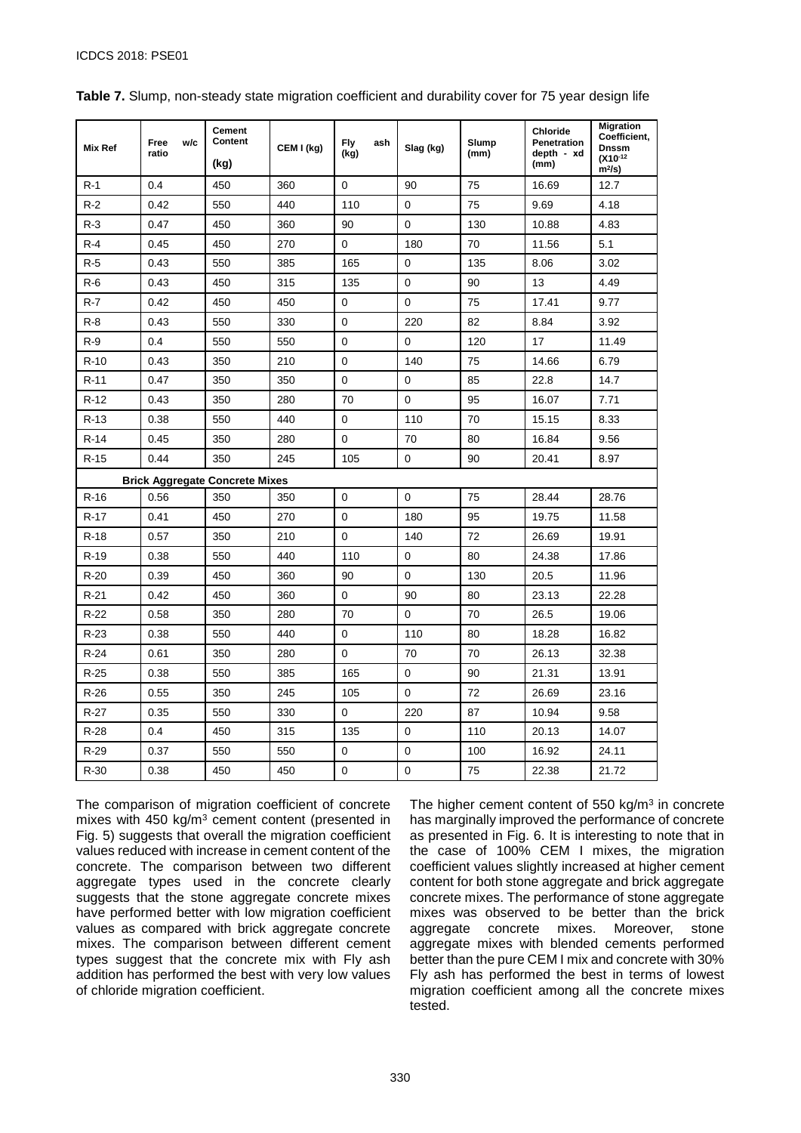| Mix Ref | w/c<br>Free                           | <b>Cement</b><br>Content | CEM I (kg) | <b>Fly</b><br>ash | Slag (kg)   | Slump | <b>Chloride</b><br><b>Penetration</b> | <b>Migration</b><br>Coefficient,<br><b>Dnssm</b> |
|---------|---------------------------------------|--------------------------|------------|-------------------|-------------|-------|---------------------------------------|--------------------------------------------------|
|         | ratio                                 | (kg)                     |            | (kg)              |             | (mm)  | depth - xd<br>(mm)                    | $(X10^{-12}$<br>m <sup>2</sup> /s                |
| $R-1$   | 0.4                                   | 450                      | 360        | $\Omega$          | 90          | 75    | 16.69                                 | 12.7                                             |
| R-2     | 0.42                                  | 550                      | 440        | 110               | $\mathbf 0$ | 75    | 9.69                                  | 4.18                                             |
| $R-3$   | 0.47                                  | 450                      | 360        | 90                | $\mathbf 0$ | 130   | 10.88                                 | 4.83                                             |
| $R-4$   | 0.45                                  | 450                      | 270        | $\mathbf 0$       | 180         | 70    | 11.56                                 | 5.1                                              |
| $R-5$   | 0.43                                  | 550                      | 385        | 165               | $\mathbf 0$ | 135   | 8.06                                  | 3.02                                             |
| $R-6$   | 0.43                                  | 450                      | 315        | 135               | $\mathbf 0$ | 90    | 13                                    | 4.49                                             |
| R-7     | 0.42                                  | 450                      | 450        | 0                 | $\mathbf 0$ | 75    | 17.41                                 | 9.77                                             |
| $R-8$   | 0.43                                  | 550                      | 330        | $\mathbf 0$       | 220         | 82    | 8.84                                  | 3.92                                             |
| $R-9$   | 0.4                                   | 550                      | 550        | 0                 | 0           | 120   | 17                                    | 11.49                                            |
| $R-10$  | 0.43                                  | 350                      | 210        | $\mathbf 0$       | 140         | 75    | 14.66                                 | 6.79                                             |
| $R-11$  | 0.47                                  | 350                      | 350        | $\mathbf 0$       | 0           | 85    | 22.8                                  | 14.7                                             |
| $R-12$  | 0.43                                  | 350                      | 280        | 70                | $\Omega$    | 95    | 16.07                                 | 7.71                                             |
| $R-13$  | 0.38                                  | 550                      | 440        | 0                 | 110         | 70    | 15.15                                 | 8.33                                             |
| $R-14$  | 0.45                                  | 350                      | 280        | 0                 | 70<br>80    |       | 16.84                                 | 9.56                                             |
| $R-15$  | 0.44                                  | 350                      | 245        | 105               | $\mathbf 0$ | 90    | 20.41                                 | 8.97                                             |
|         | <b>Brick Aggregate Concrete Mixes</b> |                          |            |                   |             |       |                                       |                                                  |
| $R-16$  | 0.56                                  | 350                      | 350        | $\mathbf 0$       | $\mathbf 0$ | 75    | 28.44                                 | 28.76                                            |
| $R-17$  | 0.41                                  | 450                      | 270        | $\mathbf 0$       | 180         | 95    | 19.75                                 | 11.58                                            |
| $R-18$  | 0.57                                  | 350                      | 210        | $\mathbf 0$       | 140         | 72    | 26.69                                 | 19.91                                            |
| $R-19$  | 0.38                                  | 550                      | 440        | 110               | $\mathbf 0$ | 80    | 24.38                                 | 17.86                                            |
| $R-20$  | 0.39                                  | 450                      | 360        | 90                | 0           | 130   | 20.5                                  | 11.96                                            |
| $R-21$  | 0.42                                  | 450                      | 360        | $\mathbf 0$       | 90          | 80    | 23.13                                 | 22.28                                            |
| $R-22$  | 0.58                                  | 350                      | 280        | 70                | 0           | 70    | 26.5                                  | 19.06                                            |
| $R-23$  | 0.38                                  | 550                      | 440        | $\mathbf 0$       | 110         | 80    | 18.28                                 | 16.82                                            |
| $R-24$  | 0.61                                  | 350                      | 280        | $\mathbf 0$       | 70          | 70    | 26.13                                 | 32.38                                            |
| $R-25$  | 0.38                                  | 550                      | 385        | 165               | $\mathbf 0$ | 90    | 21.31                                 | 13.91                                            |
| $R-26$  | 0.55                                  | 350                      | 245        | 105               | $\mathbf 0$ | 72    | 26.69                                 | 23.16                                            |
| $R-27$  | 0.35                                  | 550                      | 330        | $\mathbf 0$       | 220         | 87    | 10.94                                 | 9.58                                             |
| $R-28$  | 0.4                                   | 450                      | 315        | 135               | 0           | 110   | 20.13                                 | 14.07                                            |
| $R-29$  | 0.37                                  | 550                      | 550        | 0                 | $\mathbf 0$ | 100   | 16.92                                 | 24.11                                            |
| $R-30$  | 0.38                                  | 450                      | 450        | $\mathbf 0$       | $\mathbf 0$ | 75    | 22.38                                 | 21.72                                            |

<span id="page-9-0"></span>**Table 7.** Slump, non-steady state migration coefficient and durability cover for 75 year design life

The comparison of migration coefficient of concrete mixes with 450 kg/m3 cement content (presented in [Fig.](#page-10-0) 5) suggests that overall the migration coefficient values reduced with increase in cement content of the concrete. The comparison between two different aggregate types used in the concrete clearly suggests that the stone aggregate concrete mixes have performed better with low migration coefficient values as compared with brick aggregate concrete mixes. The comparison between different cement types suggest that the concrete mix with Fly ash addition has performed the best with very low values of chloride migration coefficient.

The higher cement content of  $550 \text{ ka/m}^3$  in concrete has marginally improved the performance of concrete as presented in [Fig.](#page-10-1) 6. It is interesting to note that in the case of 100% CEM I mixes, the migration coefficient values slightly increased at higher cement content for both stone aggregate and brick aggregate concrete mixes. The performance of stone aggregate mixes was observed to be better than the brick aggregate concrete mixes. Moreover, stone aggregate mixes with blended cements performed better than the pure CEM I mix and concrete with 30% Fly ash has performed the best in terms of lowest migration coefficient among all the concrete mixes tested.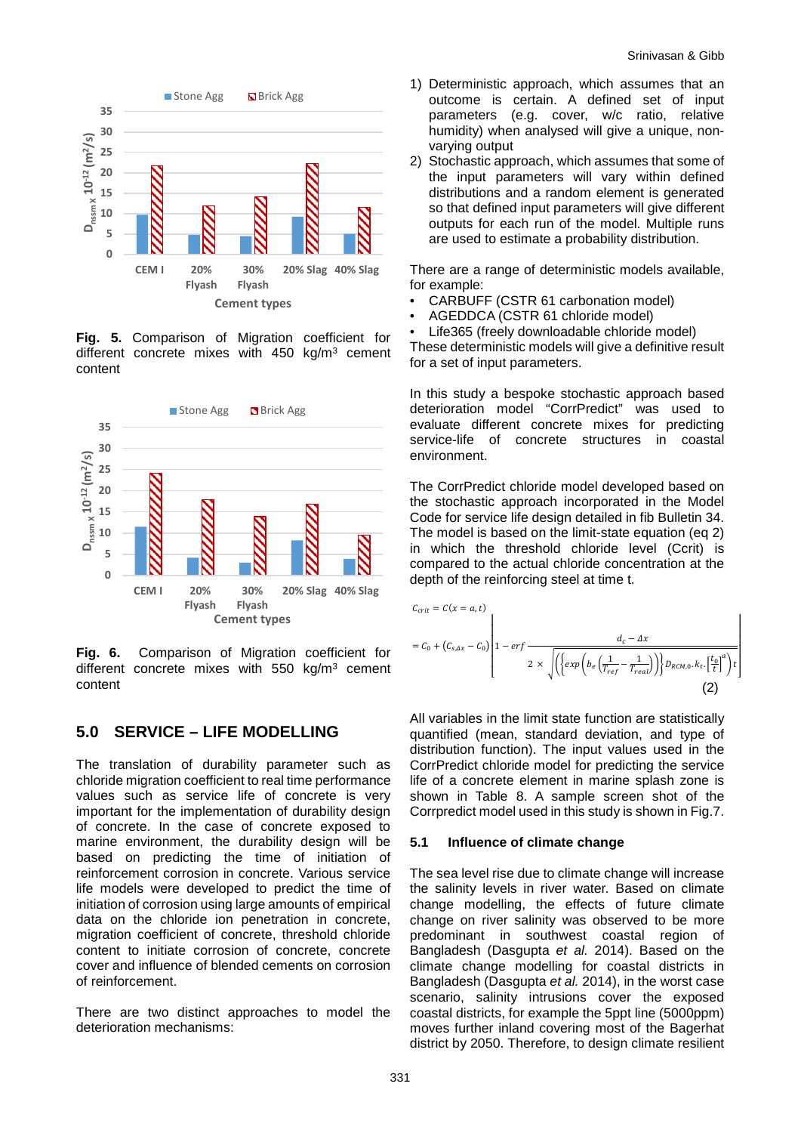

<span id="page-10-0"></span>**Fig. 5.** Comparison of Migration coefficient for different concrete mixes with  $450 \text{ kg/m}^3$  cement content



<span id="page-10-1"></span>**Fig. 6.** Comparison of Migration coefficient for different concrete mixes with 550 kg/m<sup>3</sup> cement content

### **5.0 SERVICE – LIFE MODELLING**

The translation of durability parameter such as chloride migration coefficient to real time performance values such as service life of concrete is very important for the implementation of durability design of concrete. In the case of concrete exposed to marine environment, the durability design will be based on predicting the time of initiation of reinforcement corrosion in concrete. Various service life models were developed to predict the time of initiation of corrosion using large amounts of empirical data on the chloride ion penetration in concrete, migration coefficient of concrete, threshold chloride content to initiate corrosion of concrete, concrete cover and influence of blended cements on corrosion of reinforcement.

There are two distinct approaches to model the deterioration mechanisms:

- 1) Deterministic approach, which assumes that an outcome is certain. A defined set of input parameters (e.g. cover, w/c ratio, relative humidity) when analysed will give a unique, nonvarying output
- 2) Stochastic approach, which assumes that some of the input parameters will vary within defined distributions and a random element is generated so that defined input parameters will give different outputs for each run of the model. Multiple runs are used to estimate a probability distribution.

There are a range of deterministic models available, for example:

- CARBUFF (CSTR 61 carbonation model)
- AGEDDCA (CSTR 61 chloride model)
- Life365 (freely downloadable chloride model)

These deterministic models will give a definitive result for a set of input parameters.

In this study a bespoke stochastic approach based deterioration model "CorrPredict" was used to evaluate different concrete mixes for predicting service-life of concrete structures in coastal environment.

The CorrPredict chloride model developed based on the stochastic approach incorporated in the Model Code for service life design detailed in fib Bulletin 34. The model is based on the limit-state equation (eq 2) in which the threshold chloride level (Ccrit) is compared to the actual chloride concentration at the depth of the reinforcing steel at time t.

$$
C_{crit} = C(x = a, t)
$$
  
=  $C_0 + (C_{s, dx} - C_0) \left[ 1 - erf \frac{d_c - \Delta x}{2 \times \sqrt{\left( \left\{ exp \left( b_e \left( \frac{1}{T_{ref}} - \frac{1}{T_{real}} \right) \right) \right\} D_{RCM,0} \cdot k_t \cdot \left[ \frac{t_0}{t} \right]^a \right) t} \right]}$   
(2)

All variables in the limit state function are statistically quantified (mean, standard deviation, and type of distribution function). The input values used in the CorrPredict chloride model for predicting the service life of a concrete element in marine splash zone is shown in Table 8. A sample screen shot of the Corrpredict model used in this study is shown in Fig.7.

#### **5.1 Influence of climate change**

The sea level rise due to climate change will increase the salinity levels in river water. Based on climate change modelling, the effects of future climate change on river salinity was observed to be more predominant in southwest coastal region of Bangladesh (Dasgupta *et al.* 2014). Based on the climate change modelling for coastal districts in Bangladesh (Dasgupta *et al.* 2014), in the worst case scenario, salinity intrusions cover the exposed coastal districts, for example the 5ppt line (5000ppm) moves further inland covering most of the Bagerhat district by 2050. Therefore, to design climate resilient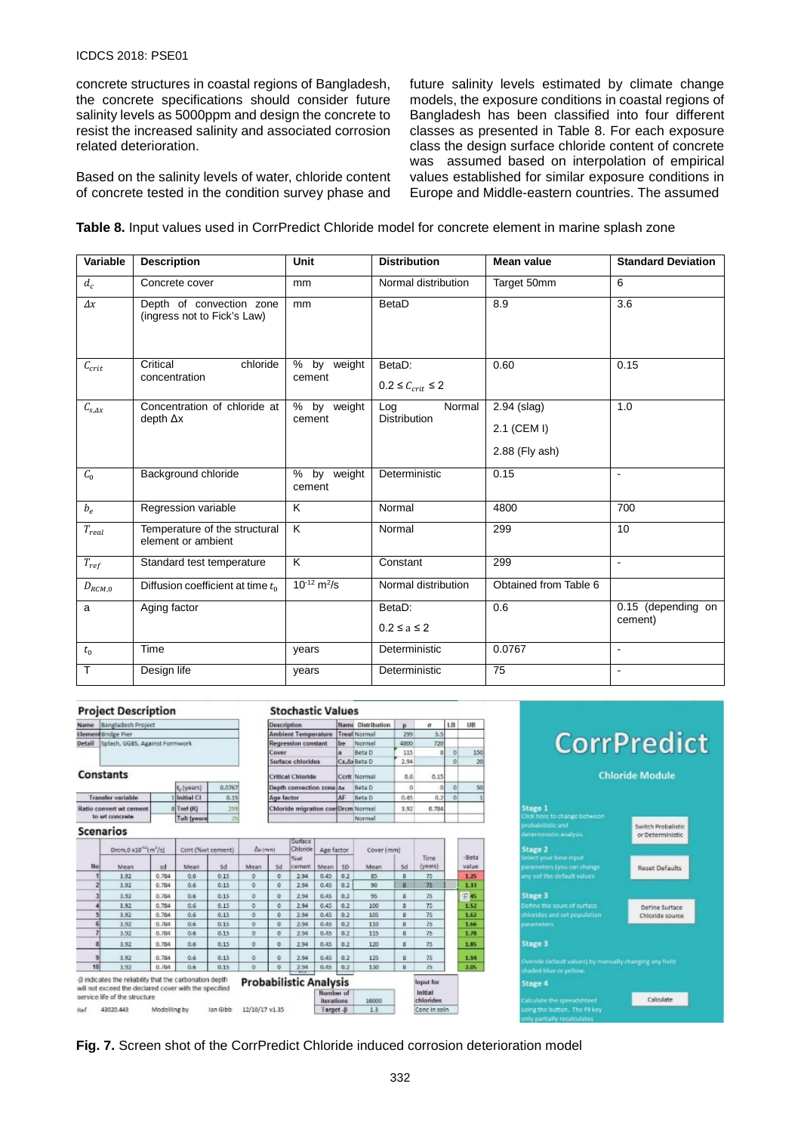#### ICDCS 2018: PSE01

concrete structures in coastal regions of Bangladesh, the concrete specifications should consider future salinity levels as 5000ppm and design the concrete to resist the increased salinity and associated corrosion related deterioration.

Based on the salinity levels of water, chloride content of concrete tested in the condition survey phase and future salinity levels estimated by climate change models, the exposure conditions in coastal regions of Bangladesh has been classified into four different classes as presented in [Table 8.](#page-12-0) For each exposure class the design surface chloride content of concrete was assumed based on interpolation of empirical values established for similar exposure conditions in Europe and Middle-eastern countries. The assumed

#### **Table 8.** Input values used in CorrPredict Chloride model for concrete element in marine splash zone

| Variable             | <b>Description</b>                                      | Unit                                     | <b>Distribution</b>                  | <b>Mean value</b>     | <b>Standard Deviation</b> |
|----------------------|---------------------------------------------------------|------------------------------------------|--------------------------------------|-----------------------|---------------------------|
| $d_c$                | Concrete cover                                          | mm                                       | Normal distribution                  | Target 50mm           | 6                         |
| $\Delta x$           | Depth of convection zone<br>(ingress not to Fick's Law) | mm                                       | BetaD                                | 8.9                   | 3.6                       |
| $C_{crit}$           | Critical<br>chloride<br>concentration                   | % by weight<br>cement                    | BetaD:<br>$0.2 \leq C_{crit} \leq 2$ | 0.60                  | 0.15                      |
| $C_{s, \Delta x}$    | Concentration of chloride at<br>depth $\Delta x$        | $\%$<br>by weight<br>cement              | Normal<br>Log<br><b>Distribution</b> | 2.94 (slag)           | 1.0                       |
|                      |                                                         |                                          |                                      | 2.1 (CEM I)           |                           |
|                      |                                                         |                                          |                                      | 2.88 (Fly ash)        |                           |
| $C_0$                | Background chloride                                     | % by weight<br>cement                    | Deterministic                        | 0.15                  | $\blacksquare$            |
| $b_e$                | Regression variable                                     | K                                        | Normal                               | 4800                  | 700                       |
| $\mathcal{T}_{real}$ | Temperature of the structural<br>element or ambient     | $\overline{\mathsf{K}}$                  | Normal                               | 299                   | 10                        |
| $T_{ref}$            | Standard test temperature                               | K                                        | Constant                             | 299                   | $\blacksquare$            |
| $D_{RCM,0}$          | Diffusion coefficient at time $t_0$                     | $\frac{10^{-12}}{m^2}$ m <sup>2</sup> /s | Normal distribution                  | Obtained from Table 6 |                           |
| a                    | Aging factor                                            |                                          | BetaD:                               | 0.6                   | 0.15 (depending on        |
|                      |                                                         |                                          | $0.2 \le a \le 2$                    |                       | cement)                   |
| $t_{0}$              | Time                                                    | years                                    | Deterministic                        | 0.0767                | $\blacksquare$            |
| Т                    | Design life                                             | vears                                    | Deterministic                        | 75                    | $\blacksquare$            |

#### **Project Description**

Name Bangladesh Project em Bridge Pier<br>I - Splash, GGBS, Against Formwork

#### Constants

|                          | E <sub>o</sub> (years) | 0.0767 |
|--------------------------|------------------------|--------|
| <b>Transfer variable</b> | Initial CI             |        |
| Ratio convert wt cement  | 6 Tref (K)             |        |
| to wt concrete           | Tall (years            |        |
| <b>Scenarios</b>         |                        |        |

|                 |                                                                                                                  |                                               |      |                    |                |                 | Surface                       |                         |     |            |          |                      |               |
|-----------------|------------------------------------------------------------------------------------------------------------------|-----------------------------------------------|------|--------------------|----------------|-----------------|-------------------------------|-------------------------|-----|------------|----------|----------------------|---------------|
|                 |                                                                                                                  | Drom, $0 \times 10^{-27}$ (m <sup>2</sup> /s) |      | Corit (%wt cement) |                | $\Delta x$ (mm) |                               | Age factor              |     | Cover (mm) |          |                      |               |
| No.             | Mean                                                                                                             | sd                                            | Mean | 5d                 | Mean           | 5d              | Newt<br>cement                | Mean.                   | 5D  | Mean       | Sd       | Time<br>(years)      | -Bet<br>value |
|                 | 3.92                                                                                                             | 0.784                                         | 0.6  | 0.15               | $\circ$        | 0               | 2.94                          | 0.45                    | 0.2 | 85         | 8        | 75                   | 1.25          |
|                 | 3.92                                                                                                             | 0.784                                         | 0.6  | 0.15               | $\circ$        | 0               | 2.94                          | 0.45                    | 0.2 | 90         | 8        | 75                   | 1.33          |
|                 | 3.92                                                                                                             | 0.784                                         | 0.6  | 0.15               | ō              | Ŭ.              | 2.94                          | 0.45                    | 0.2 | 95         | ß        | 75                   | E 45          |
|                 | 3.92                                                                                                             | 0.784                                         | 0.6  | 0.15               | o              | o               | 2.94                          | 0.45                    | 0.2 | 100        | 8        | 75                   | 1.52          |
|                 | 3.92                                                                                                             | 0.784                                         | 0.6  | 0.15               | Ō              | ō               | 2.94                          | 0.45                    | 0.2 | 105        | 8        | 75                   | 1.62          |
|                 | 3.92                                                                                                             | 0.764                                         | 0.6  | 0.15               | Ö.             | o               | 2.94                          | 0.45                    | 0.2 | 110        | B        | 75                   | 1.66          |
|                 | 3.92                                                                                                             | 0.784                                         | 0.6  | 0.15               | $\sigma$       | o               | 2.94                          | 0.45                    | 0.2 | 115        | $\bf{H}$ | 75                   | 1.78          |
|                 | 3.92                                                                                                             | 0.784                                         | 0.6  | 0.15               | $\circ$        | 0               | 2.94                          | 0.45                    | 0.2 | 120        | 8        | 75                   | 1.85          |
|                 | 3.92                                                                                                             | 0.784                                         | 0.6  | 0.15               | o              | o               | 2.94                          | 0.45                    | 0.2 | 125        | 8        | 75                   | 1.94          |
| 10 <sub>1</sub> | 3.92                                                                                                             | 0.764                                         | 0.6  | 0.15               | a              | o               | 2.94                          | 0.45                    | 0.2 | 130        | B        | 75                   | 2.05          |
|                 | -8 indicates the reliability that the carbonation depth<br>will not exceed the declared cover with the specified |                                               |      |                    |                |                 | <b>Probabilistic Analysis</b> |                         |     |            |          | Input for            |               |
|                 | service life of the structure                                                                                    |                                               |      |                    |                |                 |                               | Number of<br>iterations |     | 10000      |          | Initial<br>chlorides |               |
| Ref             | 43020.443                                                                                                        | Modelling by                                  |      | lan Gibb           | 12/10/17 v1.35 |                 |                               | Target-B                |     | 1.3        |          | Conc in soln         |               |

**Stochastic Values** 

Ambient Temperature Treal Normal

Depth convection zone Ax Beta D

Chloride migration coe Drcm Norma

Name Distribution

Beta D

be Norma

Cs, Ax Beta D

Corit Normal

AF Beta D

Norma

LB  $\overline{UB}$ 

 $15$ 

 $\sigma$  $\mu$ 

к.

 $\overline{72}$ 

 $0.15$ 

 $0.2$ 

 $0.78$ 

299

115

2.94

 $0.6$ 

 $\circ$ 

 $0.45$ 

3.92

Description

Cover

**Regression constant** 

Surface chlorides

**Critical Chioride** 

Age factor

# **CorrPredict Chloride Module** tage 1 Switch Probalistic<br>or Deterministic

**Reset Defaults** 

Define Surface Chioride source

Calculate



| ---     |                           |  |
|---------|---------------------------|--|
|         | fine the sourc of surface |  |
|         | orides and set population |  |
| ameters |                           |  |
|         |                           |  |

# Stage 3

# Stage 4

**Fig. 7.** Screen shot of the CorrPredict Chloride induced corrosion deterioration model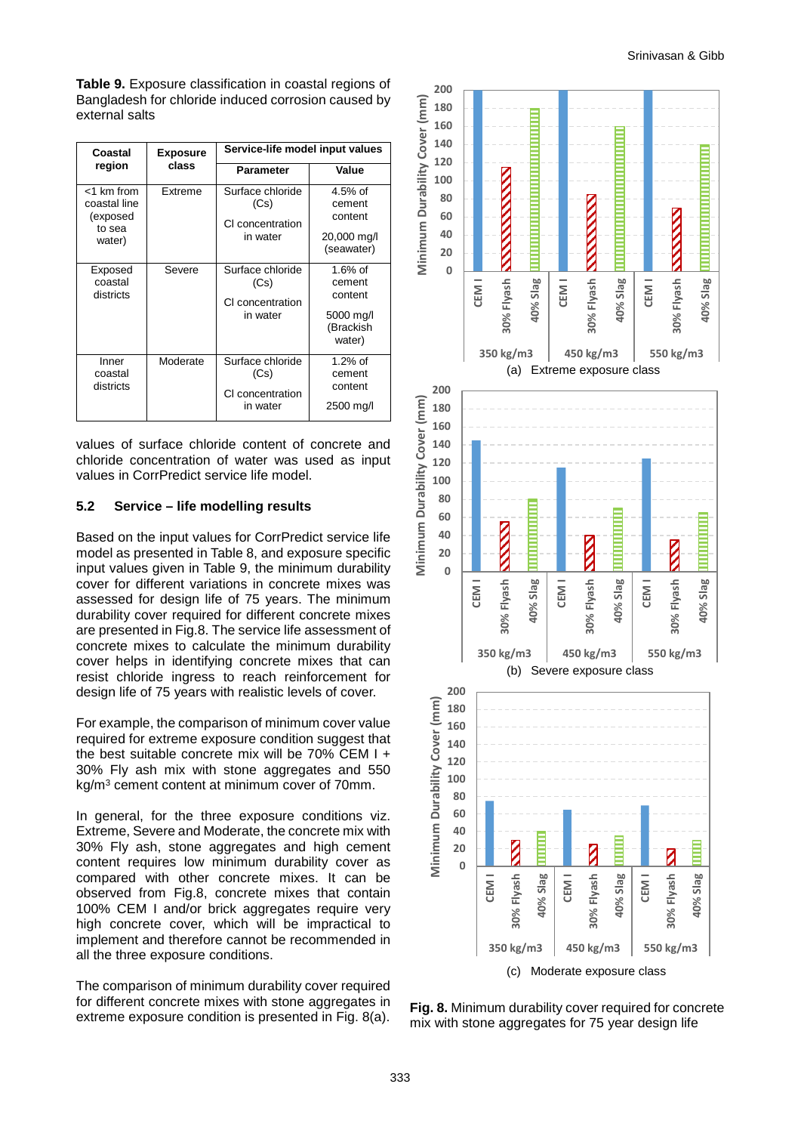<span id="page-12-0"></span>**Table 9.** Exposure classification in coastal regions of Bangladesh for chloride induced corrosion caused by external salts

| Coastal<br>region                                          | <b>Exposure</b><br>class | Service-life model input values                          |                                                                     |
|------------------------------------------------------------|--------------------------|----------------------------------------------------------|---------------------------------------------------------------------|
|                                                            |                          | <b>Parameter</b>                                         | Value                                                               |
| <1 km from<br>coastal line<br>(exposed<br>to sea<br>water) | Extreme                  | Surface chloride<br>(Cs)<br>CI concentration<br>in water | $4.5%$ of<br>cement<br>content<br>20,000 mg/l<br>(seawater)         |
| Exposed<br>coastal<br>districts                            | Severe                   | Surface chloride<br>(Cs)<br>CI concentration<br>in water | $1.6\%$ of<br>cement<br>content<br>5000 mg/l<br>(Brackish<br>water) |
| Inner<br>coastal<br>districts                              | Moderate                 | Surface chloride<br>(Cs)<br>CI concentration<br>in water | $1.2%$ of<br>cement<br>content<br>2500 mg/l                         |

values of surface chloride content of concrete and chloride concentration of water was used as input values in CorrPredict service life model.

#### **5.2 Service – life modelling results**

Based on the input values for CorrPredict service life model as presented in Table 8, and exposure specific input values given in Table 9, the minimum durability cover for different variations in concrete mixes was assessed for design life of 75 years. The minimum durability cover required for different concrete mixes are presented in Fig.8. The service life assessment of concrete mixes to calculate the minimum durability cover helps in identifying concrete mixes that can resist chloride ingress to reach reinforcement for design life of 75 years with realistic levels of cover.

For example, the comparison of minimum cover value required for extreme exposure condition suggest that the best suitable concrete mix will be 70% CEM I + 30% Fly ash mix with stone aggregates and 550 kg/m3 cement content at minimum cover of 70mm.

In general, for the three exposure conditions viz. Extreme, Severe and Moderate, the concrete mix with 30% Fly ash, stone aggregates and high cement content requires low minimum durability cover as compared with other concrete mixes. It can be observed from Fig.8, concrete mixes that contain 100% CEM I and/or brick aggregates require very high concrete cover, which will be impractical to implement and therefore cannot be recommended in all the three exposure conditions.

The comparison of minimum durability cover required for different concrete mixes with stone aggregates in extreme exposure condition is presented in [Fig.](#page-12-1) 8(a).



<span id="page-12-1"></span>**Fig. 8.** Minimum durability cover required for concrete mix with stone aggregates for 75 year design life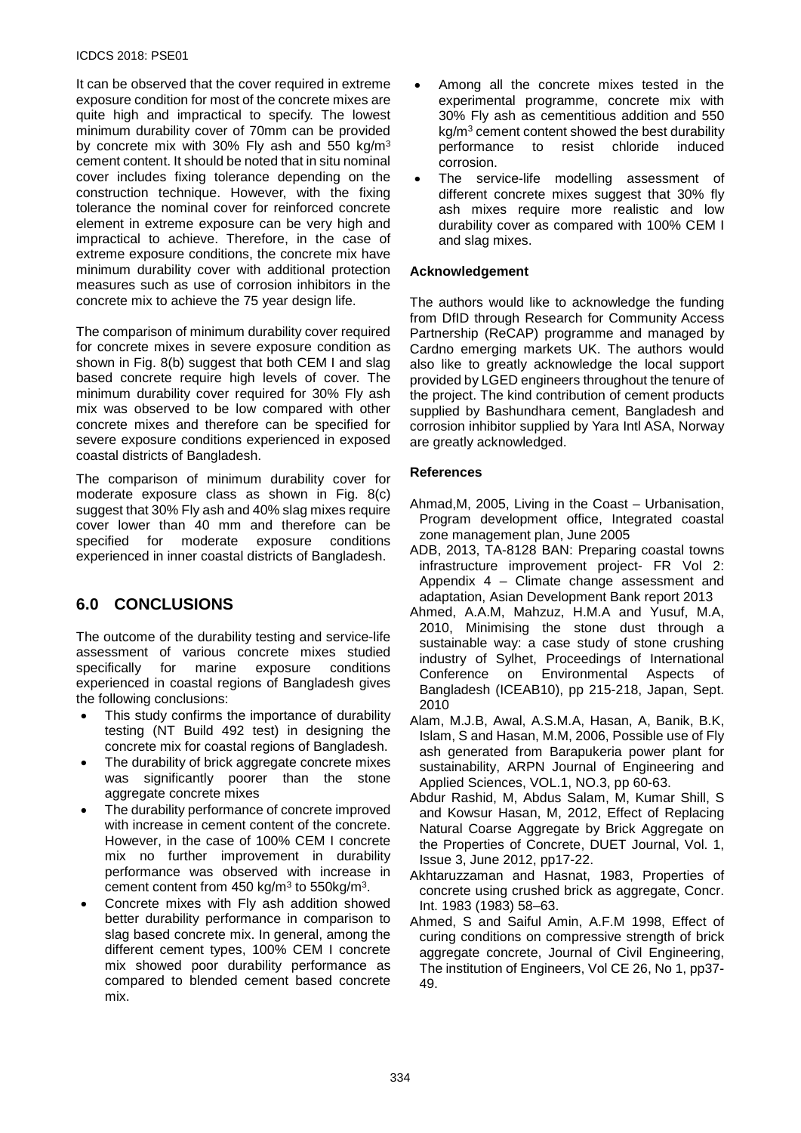#### ICDCS 2018: PSE01

It can be observed that the cover required in extreme exposure condition for most of the concrete mixes are quite high and impractical to specify. The lowest minimum durability cover of 70mm can be provided by concrete mix with 30% Fly ash and 550 kg/m3 cement content. It should be noted that in situ nominal cover includes fixing tolerance depending on the construction technique. However, with the fixing tolerance the nominal cover for reinforced concrete element in extreme exposure can be very high and impractical to achieve. Therefore, in the case of extreme exposure conditions, the concrete mix have minimum durability cover with additional protection measures such as use of corrosion inhibitors in the concrete mix to achieve the 75 year design life.

The comparison of minimum durability cover required for concrete mixes in severe exposure condition as shown in [Fig.](#page-12-1) 8(b) suggest that both CEM I and slag based concrete require high levels of cover. The minimum durability cover required for 30% Fly ash mix was observed to be low compared with other concrete mixes and therefore can be specified for severe exposure conditions experienced in exposed coastal districts of Bangladesh.

The comparison of minimum durability cover for moderate exposure class as shown in [Fig.](#page-12-1) 8(c) suggest that 30% Fly ash and 40% slag mixes require cover lower than 40 mm and therefore can be<br>specified for moderate exposure conditions specified for experienced in inner coastal districts of Bangladesh.

# **6.0 CONCLUSIONS**

The outcome of the durability testing and service-life assessment of various concrete mixes studied specifically for marine exposure conditions experienced in coastal regions of Bangladesh gives the following conclusions:

- This study confirms the importance of durability testing (NT Build 492 test) in designing the concrete mix for coastal regions of Bangladesh.
- The durability of brick aggregate concrete mixes was significantly poorer than the stone aggregate concrete mixes
- The durability performance of concrete improved with increase in cement content of the concrete. However, in the case of 100% CEM I concrete mix no further improvement in durability performance was observed with increase in cement content from  $450 \text{ kg/m}^3$  to  $550 \text{kg/m}^3$ .
- Concrete mixes with Fly ash addition showed better durability performance in comparison to slag based concrete mix. In general, among the different cement types, 100% CEM I concrete mix showed poor durability performance as compared to blended cement based concrete mix.
- Among all the concrete mixes tested in the experimental programme, concrete mix with 30% Fly ash as cementitious addition and 550  $kg/m<sup>3</sup>$  cement content showed the best durability<br>performance to resist chloride induced performance to corrosion.
- The service-life modelling assessment of different concrete mixes suggest that 30% fly ash mixes require more realistic and low durability cover as compared with 100% CEM I and slag mixes.

#### **Acknowledgement**

The authors would like to acknowledge the funding from DfID through Research for Community Access Partnership (ReCAP) programme and managed by Cardno emerging markets UK. The authors would also like to greatly acknowledge the local support provided by LGED engineers throughout the tenure of the project. The kind contribution of cement products supplied by Bashundhara cement, Bangladesh and corrosion inhibitor supplied by Yara Intl ASA, Norway are greatly acknowledged.

#### **References**

- Ahmad,M, 2005, Living in the Coast Urbanisation, Program development office, Integrated coastal zone management plan, June 2005
- ADB, 2013, TA-8128 BAN: Preparing coastal towns infrastructure improvement project- FR Vol 2: Appendix 4 – Climate change assessment and adaptation, Asian Development Bank report 2013
- Ahmed, A.A.M, Mahzuz, H.M.A and Yusuf, M.A, 2010, Minimising the stone dust through a sustainable way: a case study of stone crushing industry of Sylhet, Proceedings of International Conference on Environmental Aspects of Bangladesh (ICEAB10), pp 215-218, Japan, Sept. 2010
- Alam, M.J.B, Awal, A.S.M.A, Hasan, A, Banik, B.K, Islam, S and Hasan, M.M, 2006, Possible use of Fly ash generated from Barapukeria power plant for sustainability, ARPN Journal of Engineering and Applied Sciences, VOL.1, NO.3, pp 60-63.
- Abdur Rashid, M, Abdus Salam, M, Kumar Shill, S and Kowsur Hasan, M, 2012, Effect of Replacing Natural Coarse Aggregate by Brick Aggregate on the Properties of Concrete, DUET Journal, Vol. 1, Issue 3, June 2012, pp17-22.
- Akhtaruzzaman and Hasnat, 1983, Properties of concrete using crushed brick as aggregate, Concr. Int. 1983 (1983) 58–63.
- Ahmed, S and Saiful Amin, A.F.M 1998, Effect of curing conditions on compressive strength of brick aggregate concrete, Journal of Civil Engineering, The institution of Engineers, Vol CE 26, No 1, pp37- 49.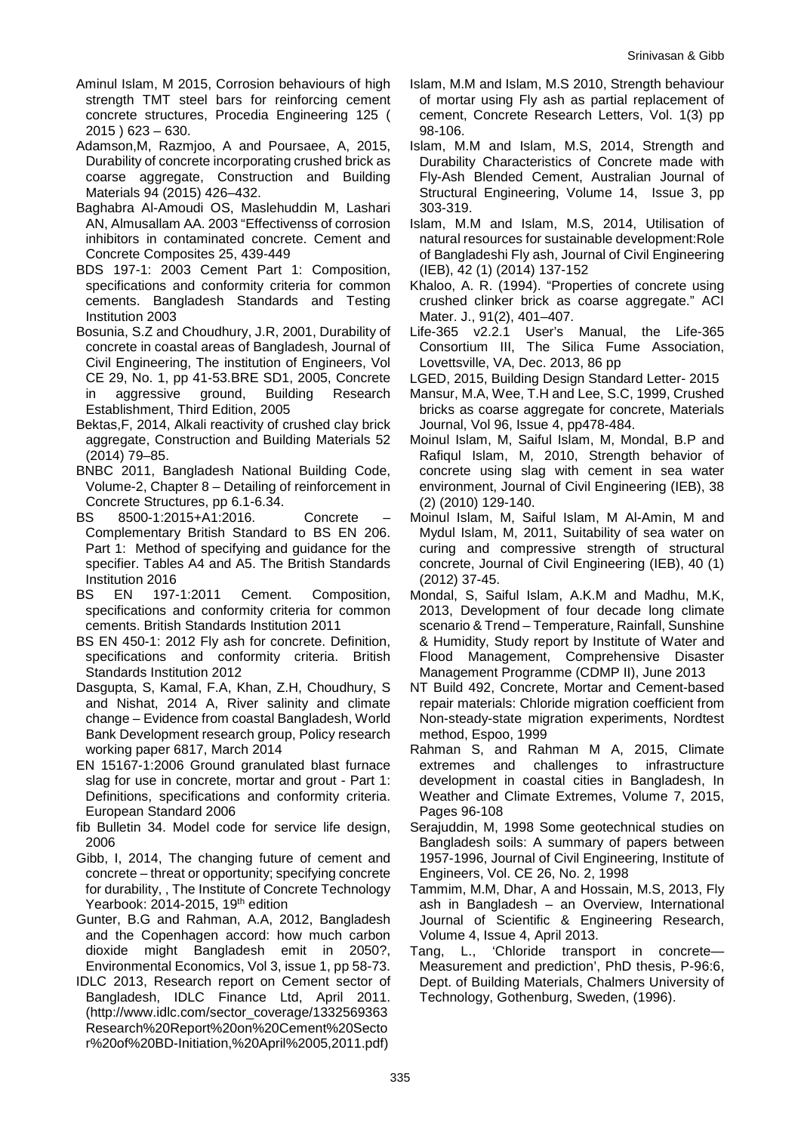- Aminul Islam, M 2015, Corrosion behaviours of high strength TMT steel bars for reinforcing cement concrete structures, Procedia Engineering 125 ( 2015 ) 623 – 630.
- Adamson,M, Razmjoo, A and Poursaee, A, 2015, Durability of concrete incorporating crushed brick as coarse aggregate, Construction and Building Materials 94 (2015) 426–432.
- Baghabra Al-Amoudi OS, Maslehuddin M, Lashari AN, Almusallam AA. 2003 "Effectivenss of corrosion inhibitors in contaminated concrete. Cement and Concrete Composites 25, 439-449
- BDS 197-1: 2003 Cement Part 1: Composition, specifications and conformity criteria for common cements. Bangladesh Standards and Testing Institution 2003
- Bosunia, S.Z and Choudhury, J.R, 2001, Durability of concrete in coastal areas of Bangladesh, Journal of Civil Engineering, The institution of Engineers, Vol CE 29, No. 1, pp 41-53.BRE SD1, 2005, Concrete<br>in aggressive ground, Building Research in aggressive ground, Building Research Establishment, Third Edition, 2005
- Bektas,F, 2014, Alkali reactivity of crushed clay brick aggregate, Construction and Building Materials 52 (2014) 79–85.
- BNBC 2011, Bangladesh National Building Code, Volume-2, Chapter 8 – Detailing of reinforcement in Concrete Structures, pp 6.1-6.34.
- BS 8500-1:2015+A1:2016. Concrete Complementary British Standard to BS EN 206. Part 1: Method of specifying and guidance for the specifier. Tables A4 and A5. The British Standards Institution 2016
- BS EN 197-1:2011 Cement. Composition, specifications and conformity criteria for common cements. British Standards Institution 2011
- BS EN 450-1: 2012 Fly ash for concrete. Definition, specifications and conformity criteria. British Standards Institution 2012
- Dasgupta, S, Kamal, F.A, Khan, Z.H, Choudhury, S and Nishat, 2014 A, River salinity and climate change – Evidence from coastal Bangladesh, World Bank Development research group, Policy research working paper 6817, March 2014
- EN 15167-1:2006 Ground granulated blast furnace slag for use in concrete, mortar and grout - Part 1: Definitions, specifications and conformity criteria. European Standard 2006
- fib Bulletin 34. Model code for service life design, 2006
- Gibb, I, 2014, The changing future of cement and concrete – threat or opportunity; specifying concrete for durability, , The Institute of Concrete Technology Yearbook: 2014-2015, 19th edition
- Gunter, B.G and Rahman, A.A, 2012, Bangladesh and the Copenhagen accord: how much carbon dioxide might Bangladesh emit in 2050?, Environmental Economics, Vol 3, issue 1, pp 58-73.
- IDLC 2013, Research report on Cement sector of Bangladesh, IDLC Finance Ltd, April 2011. (http://www.idlc.com/sector\_coverage/1332569363 Research%20Report%20on%20Cement%20Secto r%20of%20BD-Initiation,%20April%2005,2011.pdf)
- Islam, M.M and Islam, M.S 2010, Strength behaviour of mortar using Fly ash as partial replacement of cement, Concrete Research Letters, Vol. 1(3) pp 98-106.
- Islam, M.M and Islam, M.S, 2014, Strength and Durability Characteristics of Concrete made with Fly-Ash Blended Cement, Australian Journal of Structural Engineering, Volume 14, Issue 3, pp 303-319.
- Islam, M.M and Islam, M.S, 2014, Utilisation of natural resources for sustainable development:Role of Bangladeshi Fly ash, Journal of Civil Engineering (IEB), 42 (1) (2014) 137-152
- Khaloo, A. R. (1994). "Properties of concrete using crushed clinker brick as coarse aggregate." ACI Mater. J., 91(2), 401–407.
- Life-365 v2.2.1 User's Manual, the Life-365 Consortium III, The Silica Fume Association, Lovettsville, VA, Dec. 2013, 86 pp
- LGED, 2015, Building Design Standard Letter- 2015
- Mansur, M.A, Wee, T.H and Lee, S.C, 1999, Crushed bricks as coarse aggregate for concrete, Materials Journal, Vol 96, Issue 4, pp478-484.
- Moinul Islam, M, Saiful Islam, M, Mondal, B.P and Rafiqul Islam, M, 2010, Strength behavior of concrete using slag with cement in sea water environment, Journal of Civil Engineering (IEB), 38 (2) (2010) 129-140.
- Moinul Islam, M, Saiful Islam, M Al-Amin, M and Mydul Islam, M, 2011, Suitability of sea water on curing and compressive strength of structural concrete, Journal of Civil Engineering (IEB), 40 (1) (2012) 37-45.
- Mondal, S, Saiful Islam, A.K.M and Madhu, M.K, 2013, Development of four decade long climate scenario & Trend – Temperature, Rainfall, Sunshine & Humidity, Study report by Institute of Water and Flood Management, Comprehensive Disaster Management Programme (CDMP II), June 2013
- NT Build 492, Concrete, Mortar and Cement-based repair materials: Chloride migration coefficient from Non-steady-state migration experiments, Nordtest method, Espoo, 1999
- Rahman S, and Rahman M A, 2015, Climate extremes and challenges to infrastructure development in coastal cities in Bangladesh, In Weather and Climate Extremes, Volume 7, 2015, Pages 96-108
- Serajuddin, M, 1998 Some geotechnical studies on Bangladesh soils: A summary of papers between 1957-1996, Journal of Civil Engineering, Institute of Engineers, Vol. CE 26, No. 2, 1998
- Tammim, M.M, Dhar, A and Hossain, M.S, 2013, Fly ash in Bangladesh – an Overview, International Journal of Scientific & Engineering Research, Volume 4, Issue 4, April 2013.
- Tang, L., 'Chloride transport in concrete— Measurement and prediction', PhD thesis, P-96:6, Dept. of Building Materials, Chalmers University of Technology, Gothenburg, Sweden, (1996).